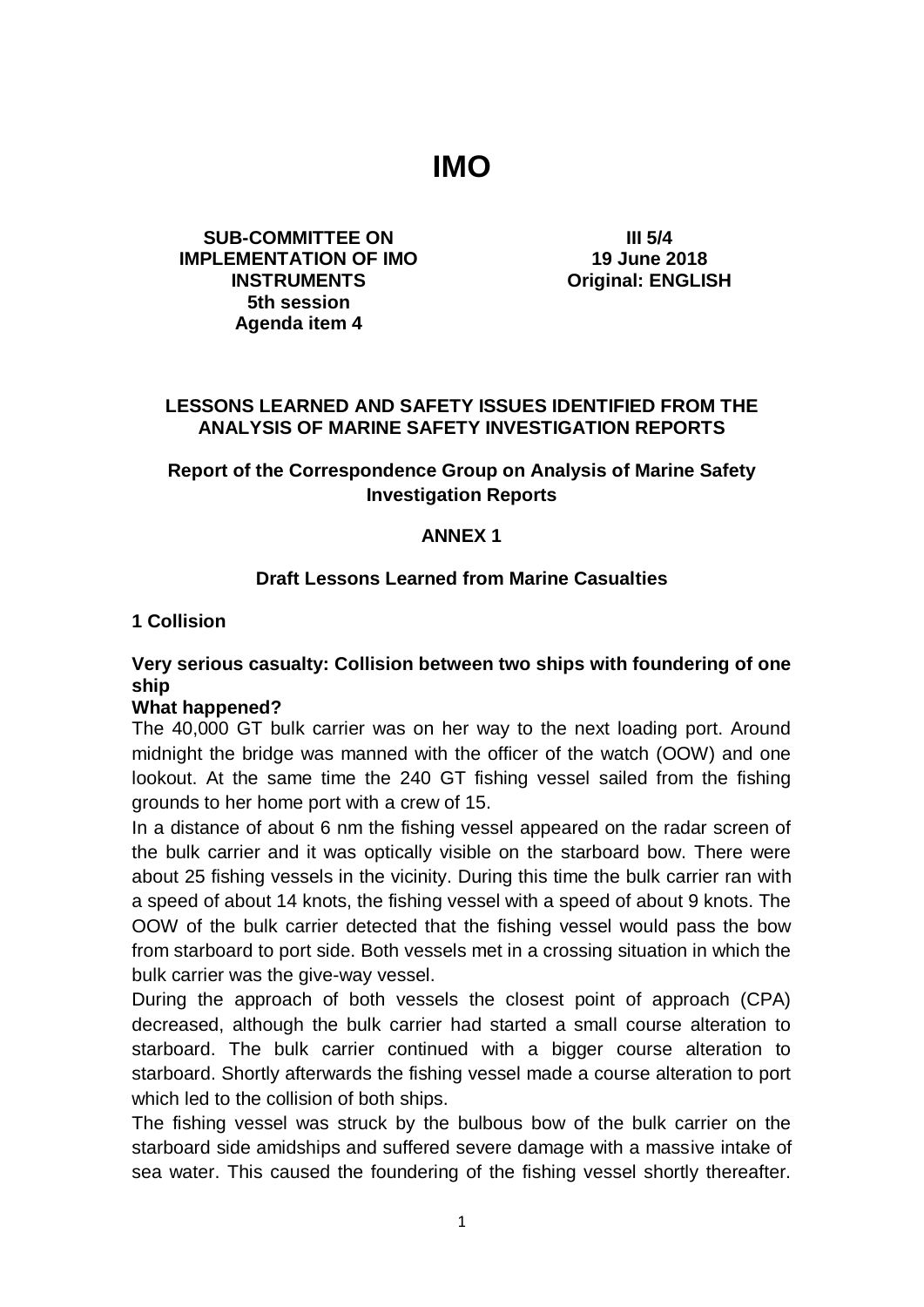# **IMO**

#### **SUB-COMMITTEE ON IMPLEMENTATION OF IMO INSTRUMENTS 5th session Agenda item 4**

**III 5/4 19 June 2018 Original: ENGLISH**

#### **LESSONS LEARNED AND SAFETY ISSUES IDENTIFIED FROM THE ANALYSIS OF MARINE SAFETY INVESTIGATION REPORTS**

#### **Report of the Correspondence Group on Analysis of Marine Safety Investigation Reports**

#### **ANNEX 1**

#### **Draft Lessons Learned from Marine Casualties**

#### **1 Collision**

## **Very serious casualty: Collision between two ships with foundering of one ship**

#### **What happened?**

The 40,000 GT bulk carrier was on her way to the next loading port. Around midnight the bridge was manned with the officer of the watch (OOW) and one lookout. At the same time the 240 GT fishing vessel sailed from the fishing grounds to her home port with a crew of 15.

In a distance of about 6 nm the fishing vessel appeared on the radar screen of the bulk carrier and it was optically visible on the starboard bow. There were about 25 fishing vessels in the vicinity. During this time the bulk carrier ran with a speed of about 14 knots, the fishing vessel with a speed of about 9 knots. The OOW of the bulk carrier detected that the fishing vessel would pass the bow from starboard to port side. Both vessels met in a crossing situation in which the bulk carrier was the give-way vessel.

During the approach of both vessels the closest point of approach (CPA) decreased, although the bulk carrier had started a small course alteration to starboard. The bulk carrier continued with a bigger course alteration to starboard. Shortly afterwards the fishing vessel made a course alteration to port which led to the collision of both ships.

The fishing vessel was struck by the bulbous bow of the bulk carrier on the starboard side amidships and suffered severe damage with a massive intake of sea water. This caused the foundering of the fishing vessel shortly thereafter.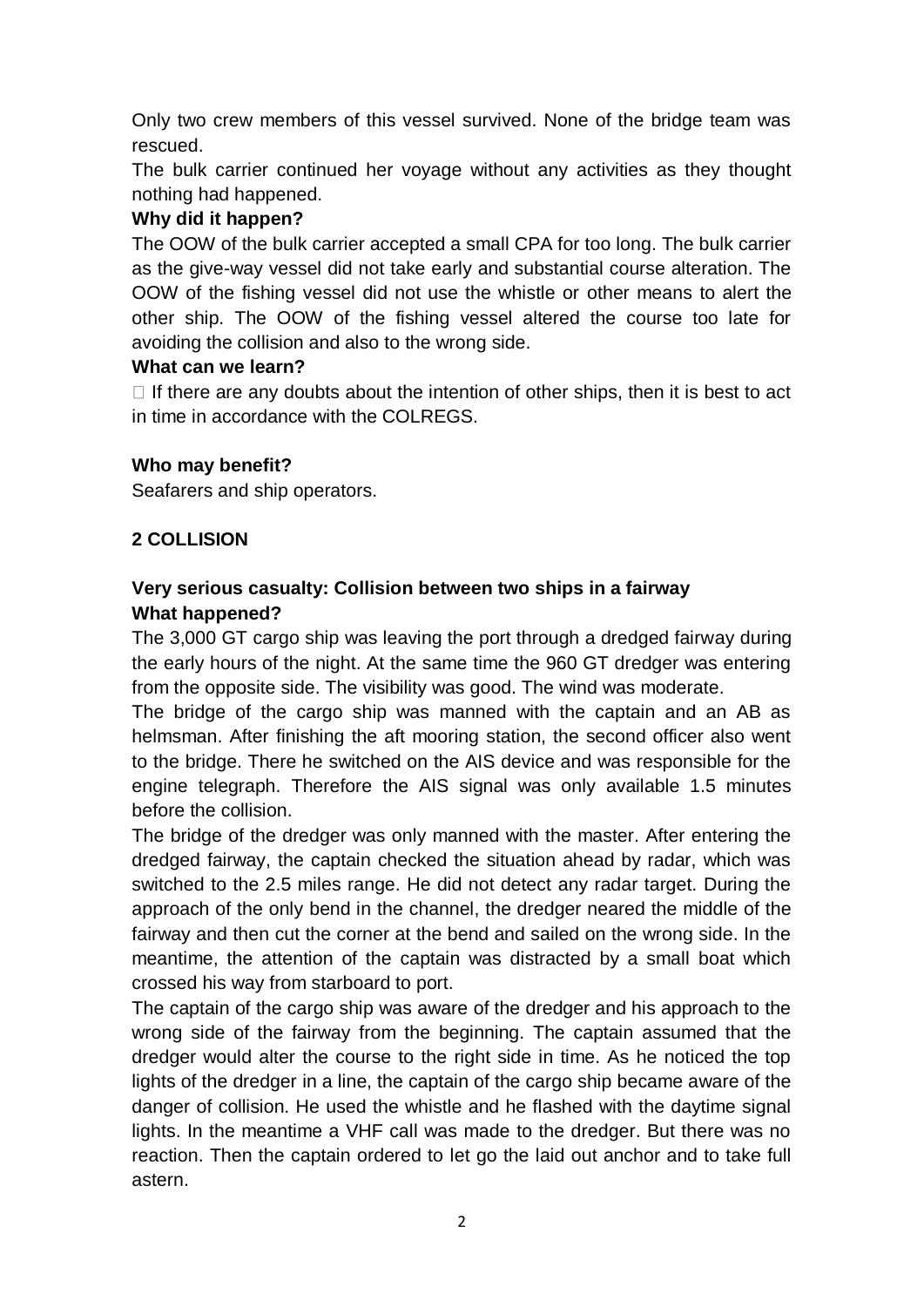Only two crew members of this vessel survived. None of the bridge team was rescued.

The bulk carrier continued her voyage without any activities as they thought nothing had happened.

# **Why did it happen?**

The OOW of the bulk carrier accepted a small CPA for too long. The bulk carrier as the give-way vessel did not take early and substantial course alteration. The OOW of the fishing vessel did not use the whistle or other means to alert the other ship. The OOW of the fishing vessel altered the course too late for avoiding the collision and also to the wrong side.

#### **What can we learn?**

 $\Box$  If there are any doubts about the intention of other ships, then it is best to act in time in accordance with the COLREGS.

## **Who may benefit?**

Seafarers and ship operators.

# **2 COLLISION**

# **Very serious casualty: Collision between two ships in a fairway What happened?**

The 3,000 GT cargo ship was leaving the port through a dredged fairway during the early hours of the night. At the same time the 960 GT dredger was entering from the opposite side. The visibility was good. The wind was moderate.

The bridge of the cargo ship was manned with the captain and an AB as helmsman. After finishing the aft mooring station, the second officer also went to the bridge. There he switched on the AIS device and was responsible for the engine telegraph. Therefore the AIS signal was only available 1.5 minutes before the collision.

The bridge of the dredger was only manned with the master. After entering the dredged fairway, the captain checked the situation ahead by radar, which was switched to the 2.5 miles range. He did not detect any radar target. During the approach of the only bend in the channel, the dredger neared the middle of the fairway and then cut the corner at the bend and sailed on the wrong side. In the meantime, the attention of the captain was distracted by a small boat which crossed his way from starboard to port.

The captain of the cargo ship was aware of the dredger and his approach to the wrong side of the fairway from the beginning. The captain assumed that the dredger would alter the course to the right side in time. As he noticed the top lights of the dredger in a line, the captain of the cargo ship became aware of the danger of collision. He used the whistle and he flashed with the daytime signal lights. In the meantime a VHF call was made to the dredger. But there was no reaction. Then the captain ordered to let go the laid out anchor and to take full astern.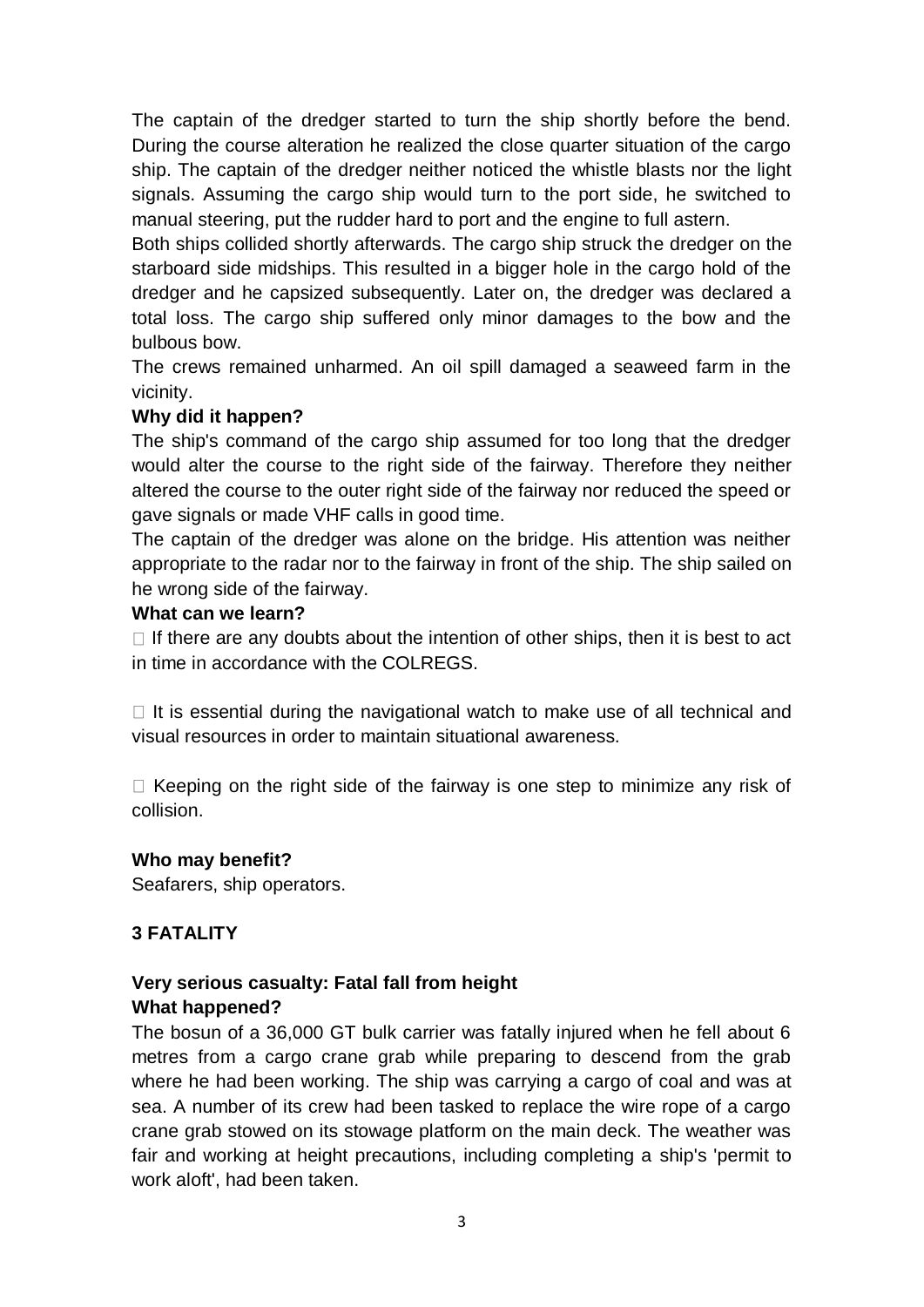The captain of the dredger started to turn the ship shortly before the bend. During the course alteration he realized the close quarter situation of the cargo ship. The captain of the dredger neither noticed the whistle blasts nor the light signals. Assuming the cargo ship would turn to the port side, he switched to manual steering, put the rudder hard to port and the engine to full astern.

Both ships collided shortly afterwards. The cargo ship struck the dredger on the starboard side midships. This resulted in a bigger hole in the cargo hold of the dredger and he capsized subsequently. Later on, the dredger was declared a total loss. The cargo ship suffered only minor damages to the bow and the bulbous bow.

The crews remained unharmed. An oil spill damaged a seaweed farm in the vicinity.

# **Why did it happen?**

The ship's command of the cargo ship assumed for too long that the dredger would alter the course to the right side of the fairway. Therefore they neither altered the course to the outer right side of the fairway nor reduced the speed or gave signals or made VHF calls in good time.

The captain of the dredger was alone on the bridge. His attention was neither appropriate to the radar nor to the fairway in front of the ship. The ship sailed on he wrong side of the fairway.

## **What can we learn?**

 $\Box$  If there are any doubts about the intention of other ships, then it is best to act in time in accordance with the COLREGS.

 $\Box$  It is essential during the navigational watch to make use of all technical and visual resources in order to maintain situational awareness.

 $\Box$  Keeping on the right side of the fairway is one step to minimize any risk of collision.

## **Who may benefit?**

Seafarers, ship operators.

## **3 FATALITY**

# **Very serious casualty: Fatal fall from height What happened?**

The bosun of a 36,000 GT bulk carrier was fatally injured when he fell about 6 metres from a cargo crane grab while preparing to descend from the grab where he had been working. The ship was carrying a cargo of coal and was at sea. A number of its crew had been tasked to replace the wire rope of a cargo crane grab stowed on its stowage platform on the main deck. The weather was fair and working at height precautions, including completing a ship's 'permit to work aloft', had been taken.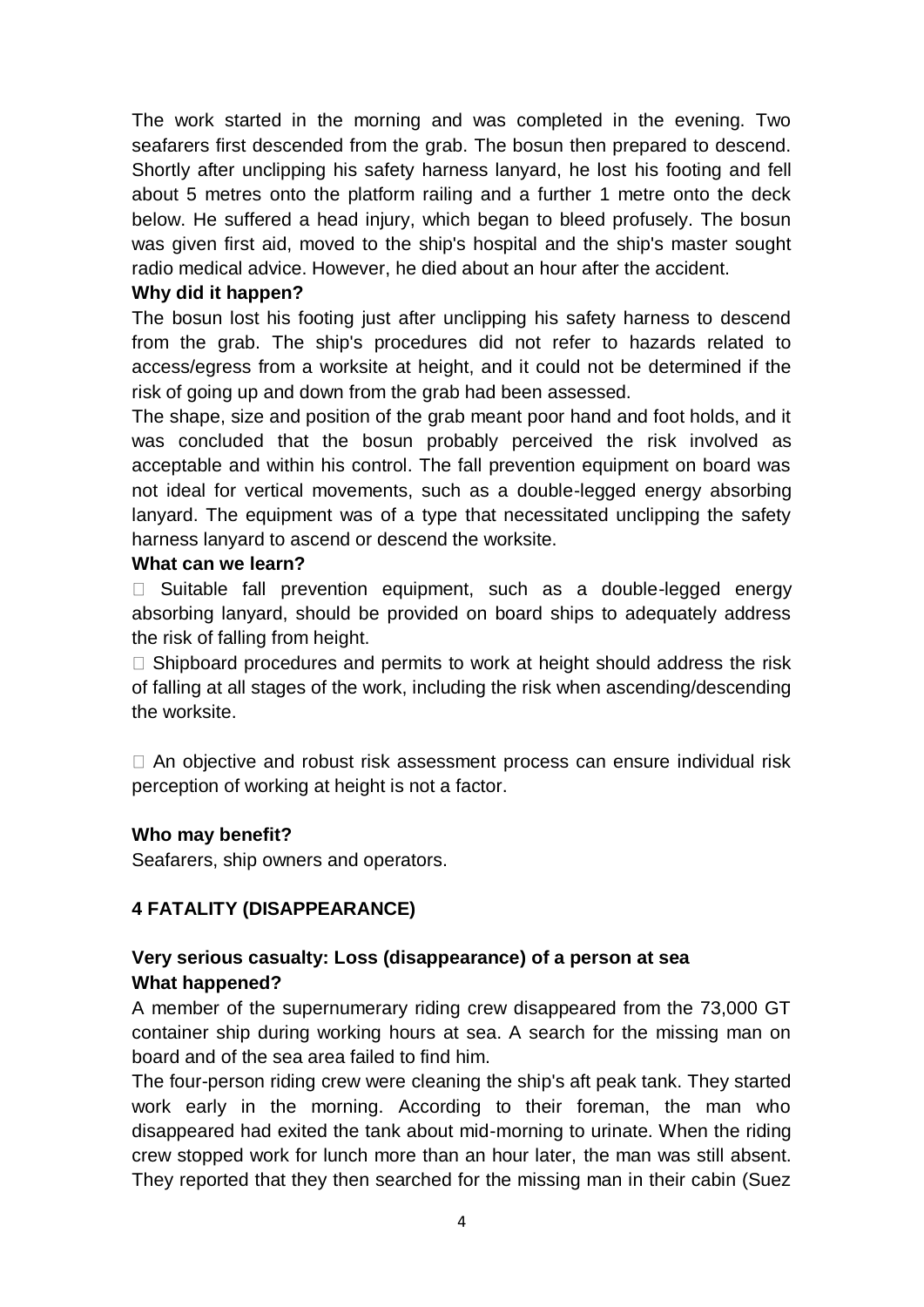The work started in the morning and was completed in the evening. Two seafarers first descended from the grab. The bosun then prepared to descend. Shortly after unclipping his safety harness lanyard, he lost his footing and fell about 5 metres onto the platform railing and a further 1 metre onto the deck below. He suffered a head injury, which began to bleed profusely. The bosun was given first aid, moved to the ship's hospital and the ship's master sought radio medical advice. However, he died about an hour after the accident.

## **Why did it happen?**

The bosun lost his footing just after unclipping his safety harness to descend from the grab. The ship's procedures did not refer to hazards related to access/egress from a worksite at height, and it could not be determined if the risk of going up and down from the grab had been assessed.

The shape, size and position of the grab meant poor hand and foot holds, and it was concluded that the bosun probably perceived the risk involved as acceptable and within his control. The fall prevention equipment on board was not ideal for vertical movements, such as a double-legged energy absorbing lanyard. The equipment was of a type that necessitated unclipping the safety harness lanyard to ascend or descend the worksite.

## **What can we learn?**

 $\Box$  Suitable fall prevention equipment, such as a double-legged energy absorbing lanyard, should be provided on board ships to adequately address the risk of falling from height.

 $\Box$  Shipboard procedures and permits to work at height should address the risk of falling at all stages of the work, including the risk when ascending/descending the worksite.

 $\Box$  An objective and robust risk assessment process can ensure individual risk perception of working at height is not a factor.

## **Who may benefit?**

Seafarers, ship owners and operators.

# **4 FATALITY (DISAPPEARANCE)**

# **Very serious casualty: Loss (disappearance) of a person at sea What happened?**

A member of the supernumerary riding crew disappeared from the 73,000 GT container ship during working hours at sea. A search for the missing man on board and of the sea area failed to find him.

The four-person riding crew were cleaning the ship's aft peak tank. They started work early in the morning. According to their foreman, the man who disappeared had exited the tank about mid-morning to urinate. When the riding crew stopped work for lunch more than an hour later, the man was still absent. They reported that they then searched for the missing man in their cabin (Suez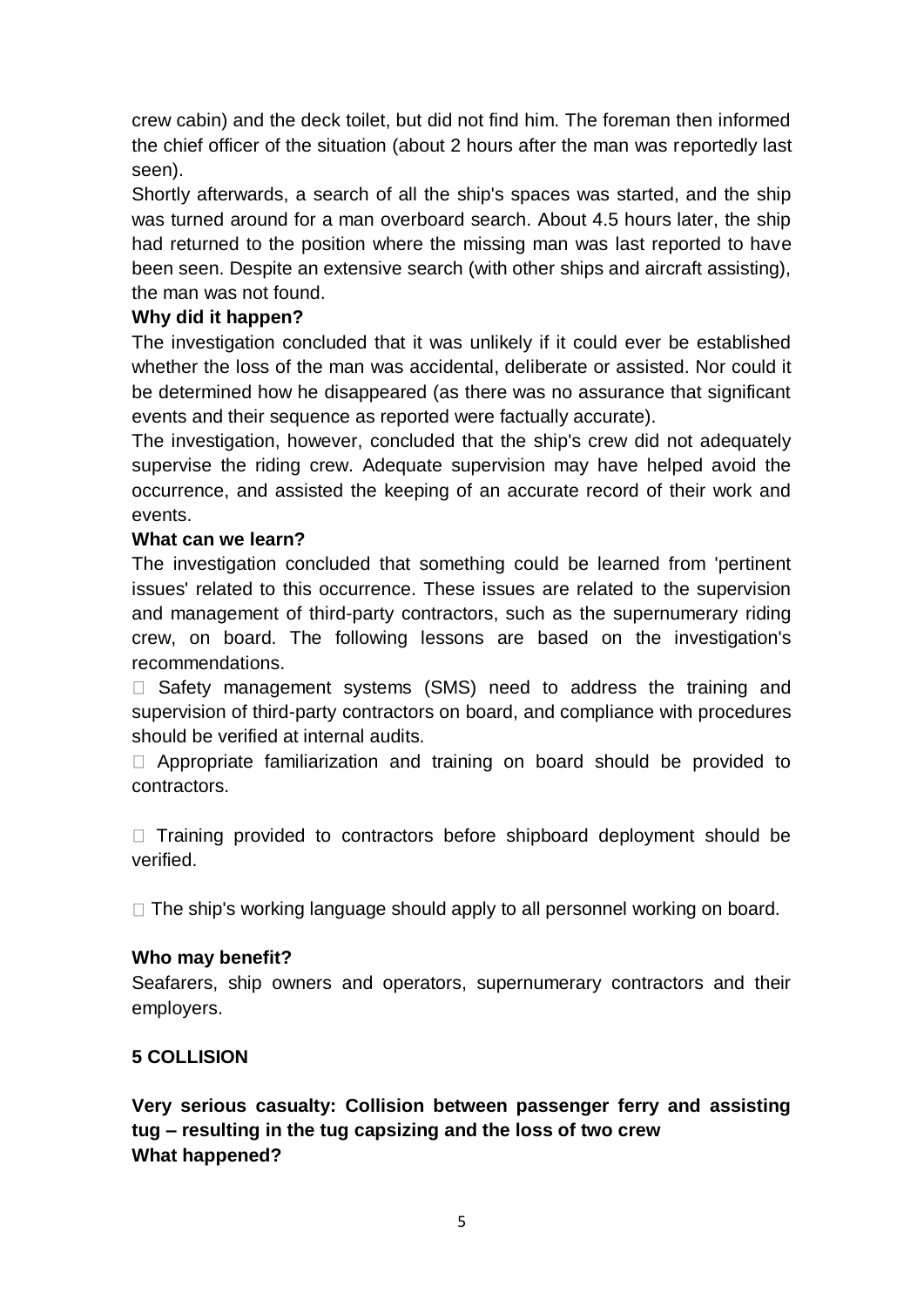crew cabin) and the deck toilet, but did not find him. The foreman then informed the chief officer of the situation (about 2 hours after the man was reportedly last seen).

Shortly afterwards, a search of all the ship's spaces was started, and the ship was turned around for a man overboard search. About 4.5 hours later, the ship had returned to the position where the missing man was last reported to have been seen. Despite an extensive search (with other ships and aircraft assisting), the man was not found.

#### **Why did it happen?**

The investigation concluded that it was unlikely if it could ever be established whether the loss of the man was accidental, deliberate or assisted. Nor could it be determined how he disappeared (as there was no assurance that significant events and their sequence as reported were factually accurate).

The investigation, however, concluded that the ship's crew did not adequately supervise the riding crew. Adequate supervision may have helped avoid the occurrence, and assisted the keeping of an accurate record of their work and events.

#### **What can we learn?**

The investigation concluded that something could be learned from 'pertinent issues' related to this occurrence. These issues are related to the supervision and management of third-party contractors, such as the supernumerary riding crew, on board. The following lessons are based on the investigation's recommendations.

 $\Box$  Safety management systems (SMS) need to address the training and supervision of third-party contractors on board, and compliance with procedures should be verified at internal audits.

 $\Box$  Appropriate familiarization and training on board should be provided to contractors.

 $\Box$  Training provided to contractors before shipboard deployment should be verified.

 $\Box$  The ship's working language should apply to all personnel working on board.

#### **Who may benefit?**

Seafarers, ship owners and operators, supernumerary contractors and their employers.

## **5 COLLISION**

**Very serious casualty: Collision between passenger ferry and assisting tug – resulting in the tug capsizing and the loss of two crew What happened?**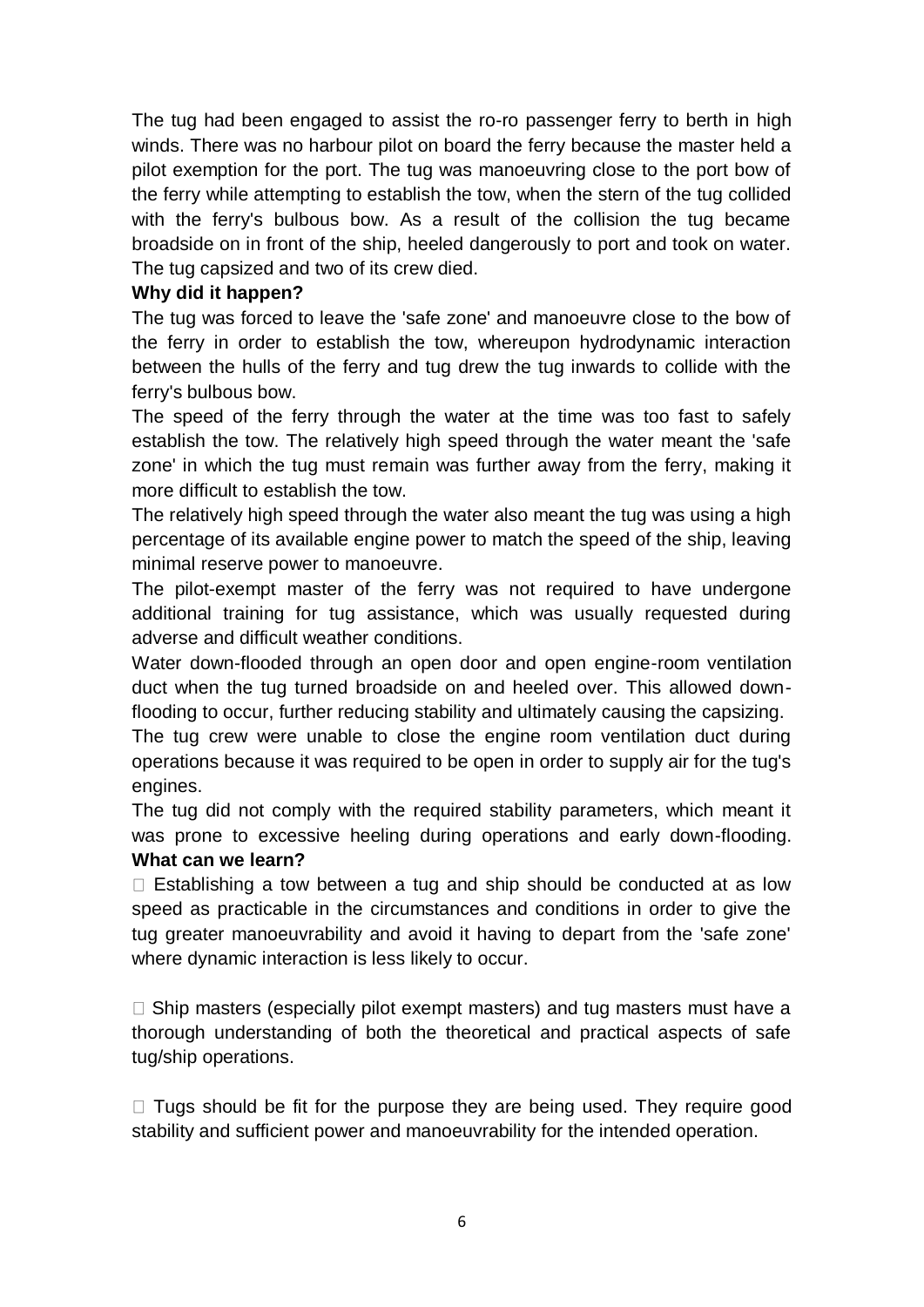The tug had been engaged to assist the ro-ro passenger ferry to berth in high winds. There was no harbour pilot on board the ferry because the master held a pilot exemption for the port. The tug was manoeuvring close to the port bow of the ferry while attempting to establish the tow, when the stern of the tug collided with the ferry's bulbous bow. As a result of the collision the tug became broadside on in front of the ship, heeled dangerously to port and took on water. The tug capsized and two of its crew died.

## **Why did it happen?**

The tug was forced to leave the 'safe zone' and manoeuvre close to the bow of the ferry in order to establish the tow, whereupon hydrodynamic interaction between the hulls of the ferry and tug drew the tug inwards to collide with the ferry's bulbous bow.

The speed of the ferry through the water at the time was too fast to safely establish the tow. The relatively high speed through the water meant the 'safe zone' in which the tug must remain was further away from the ferry, making it more difficult to establish the tow.

The relatively high speed through the water also meant the tug was using a high percentage of its available engine power to match the speed of the ship, leaving minimal reserve power to manoeuvre.

The pilot-exempt master of the ferry was not required to have undergone additional training for tug assistance, which was usually requested during adverse and difficult weather conditions.

Water down-flooded through an open door and open engine-room ventilation duct when the tug turned broadside on and heeled over. This allowed downflooding to occur, further reducing stability and ultimately causing the capsizing.

The tug crew were unable to close the engine room ventilation duct during operations because it was required to be open in order to supply air for the tug's engines.

The tug did not comply with the required stability parameters, which meant it was prone to excessive heeling during operations and early down-flooding. **What can we learn?** 

 $\Box$  Establishing a tow between a tug and ship should be conducted at as low speed as practicable in the circumstances and conditions in order to give the tug greater manoeuvrability and avoid it having to depart from the 'safe zone' where dynamic interaction is less likely to occur.

 $\Box$  Ship masters (especially pilot exempt masters) and tug masters must have a thorough understanding of both the theoretical and practical aspects of safe tug/ship operations.

 $\Box$  Tugs should be fit for the purpose they are being used. They require good stability and sufficient power and manoeuvrability for the intended operation.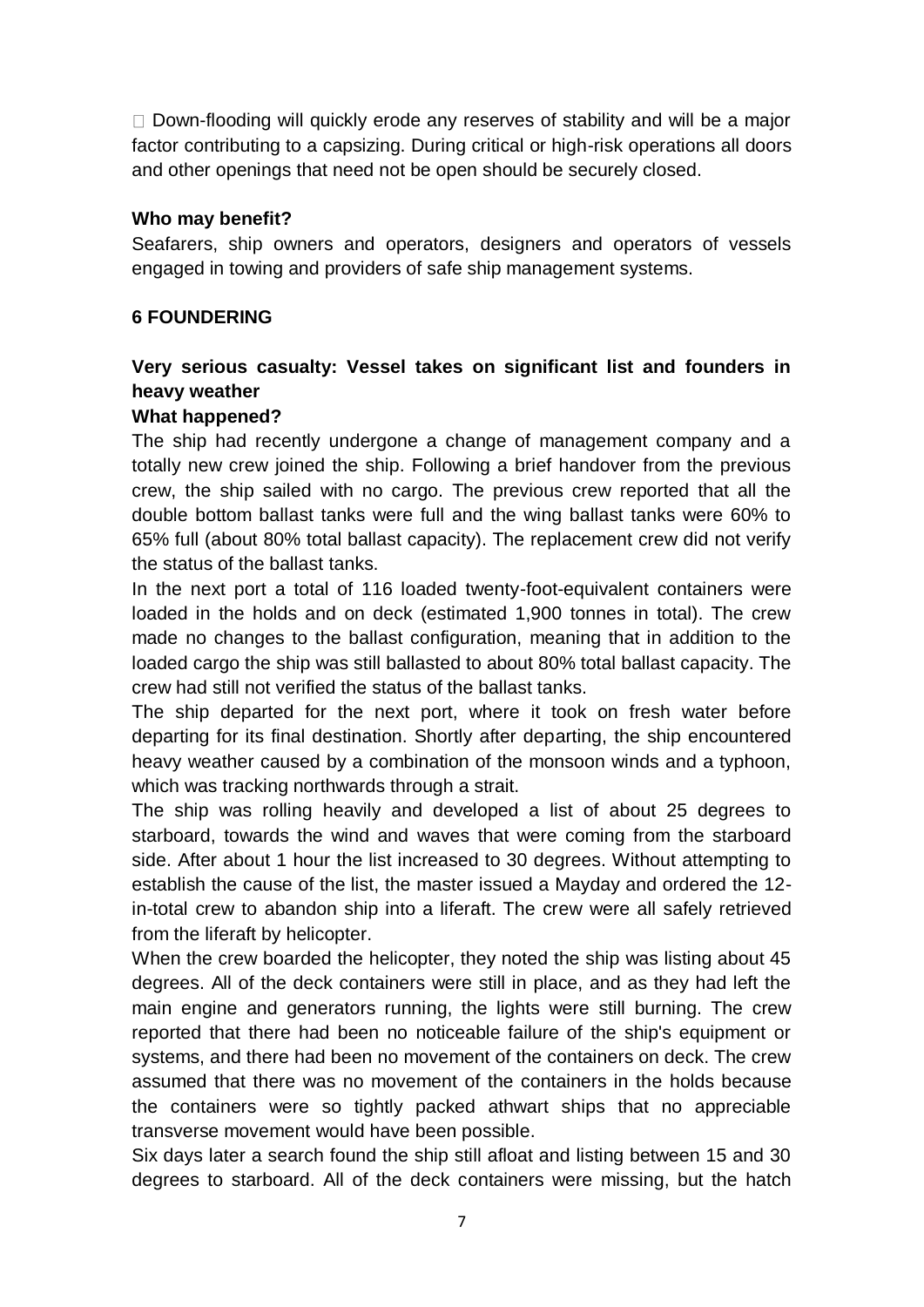$\Box$  Down-flooding will quickly erode any reserves of stability and will be a major factor contributing to a capsizing. During critical or high-risk operations all doors and other openings that need not be open should be securely closed.

#### **Who may benefit?**

Seafarers, ship owners and operators, designers and operators of vessels engaged in towing and providers of safe ship management systems.

## **6 FOUNDERING**

# **Very serious casualty: Vessel takes on significant list and founders in heavy weather**

## **What happened?**

The ship had recently undergone a change of management company and a totally new crew joined the ship. Following a brief handover from the previous crew, the ship sailed with no cargo. The previous crew reported that all the double bottom ballast tanks were full and the wing ballast tanks were 60% to 65% full (about 80% total ballast capacity). The replacement crew did not verify the status of the ballast tanks.

In the next port a total of 116 loaded twenty-foot-equivalent containers were loaded in the holds and on deck (estimated 1,900 tonnes in total). The crew made no changes to the ballast configuration, meaning that in addition to the loaded cargo the ship was still ballasted to about 80% total ballast capacity. The crew had still not verified the status of the ballast tanks.

The ship departed for the next port, where it took on fresh water before departing for its final destination. Shortly after departing, the ship encountered heavy weather caused by a combination of the monsoon winds and a typhoon, which was tracking northwards through a strait.

The ship was rolling heavily and developed a list of about 25 degrees to starboard, towards the wind and waves that were coming from the starboard side. After about 1 hour the list increased to 30 degrees. Without attempting to establish the cause of the list, the master issued a Mayday and ordered the 12 in-total crew to abandon ship into a liferaft. The crew were all safely retrieved from the liferaft by helicopter.

When the crew boarded the helicopter, they noted the ship was listing about 45 degrees. All of the deck containers were still in place, and as they had left the main engine and generators running, the lights were still burning. The crew reported that there had been no noticeable failure of the ship's equipment or systems, and there had been no movement of the containers on deck. The crew assumed that there was no movement of the containers in the holds because the containers were so tightly packed athwart ships that no appreciable transverse movement would have been possible.

Six days later a search found the ship still afloat and listing between 15 and 30 degrees to starboard. All of the deck containers were missing, but the hatch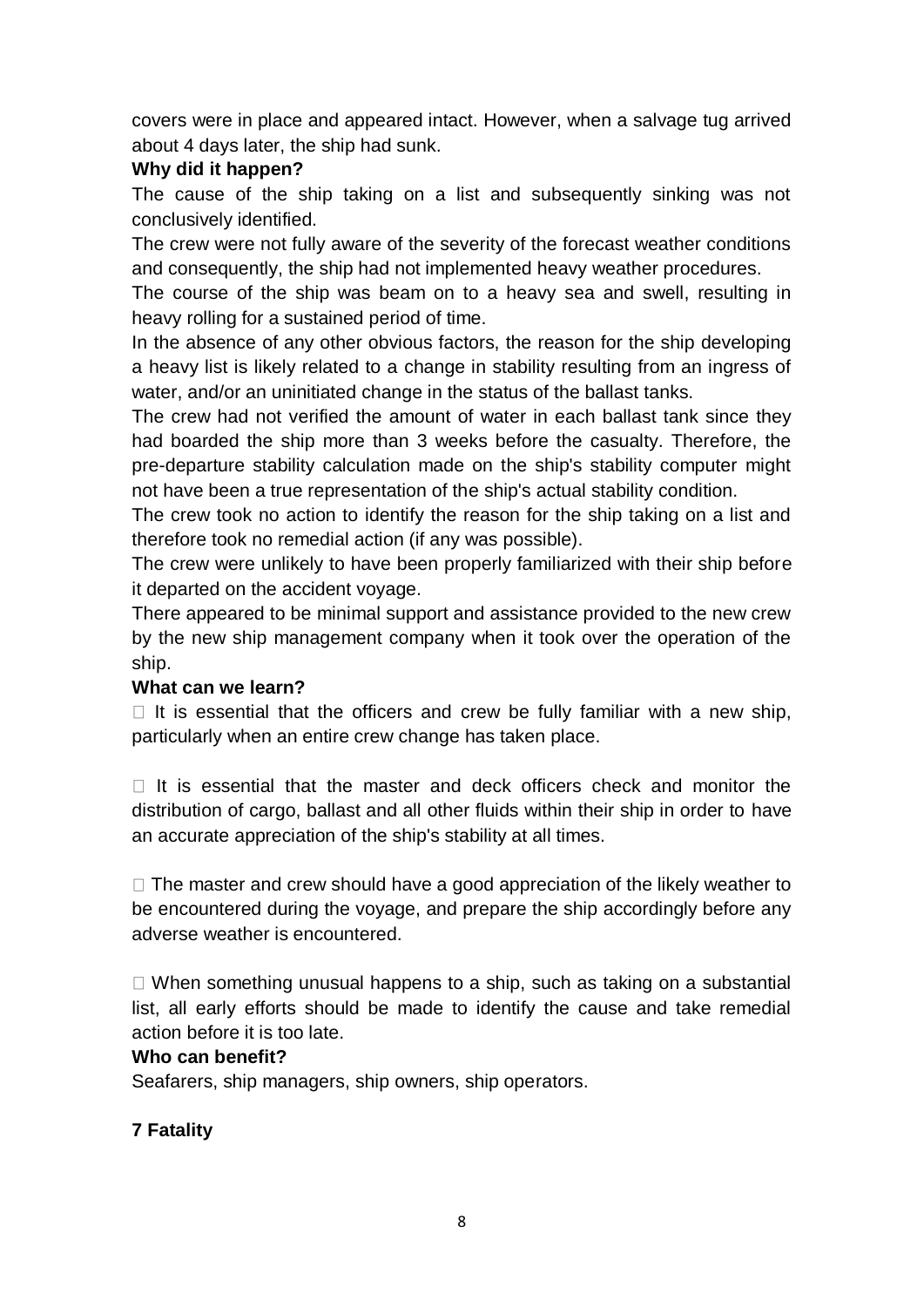covers were in place and appeared intact. However, when a salvage tug arrived about 4 days later, the ship had sunk.

# **Why did it happen?**

The cause of the ship taking on a list and subsequently sinking was not conclusively identified.

The crew were not fully aware of the severity of the forecast weather conditions and consequently, the ship had not implemented heavy weather procedures.

The course of the ship was beam on to a heavy sea and swell, resulting in heavy rolling for a sustained period of time.

In the absence of any other obvious factors, the reason for the ship developing a heavy list is likely related to a change in stability resulting from an ingress of water, and/or an uninitiated change in the status of the ballast tanks.

The crew had not verified the amount of water in each ballast tank since they had boarded the ship more than 3 weeks before the casualty. Therefore, the pre-departure stability calculation made on the ship's stability computer might not have been a true representation of the ship's actual stability condition.

The crew took no action to identify the reason for the ship taking on a list and therefore took no remedial action (if any was possible).

The crew were unlikely to have been properly familiarized with their ship before it departed on the accident voyage.

There appeared to be minimal support and assistance provided to the new crew by the new ship management company when it took over the operation of the ship.

## **What can we learn?**

 $\Box$  It is essential that the officers and crew be fully familiar with a new ship, particularly when an entire crew change has taken place.

 $\Box$  It is essential that the master and deck officers check and monitor the distribution of cargo, ballast and all other fluids within their ship in order to have an accurate appreciation of the ship's stability at all times.

 $\Box$  The master and crew should have a good appreciation of the likely weather to be encountered during the voyage, and prepare the ship accordingly before any adverse weather is encountered.

 $\Box$  When something unusual happens to a ship, such as taking on a substantial list, all early efforts should be made to identify the cause and take remedial action before it is too late.

## **Who can benefit?**

Seafarers, ship managers, ship owners, ship operators.

## **7 Fatality**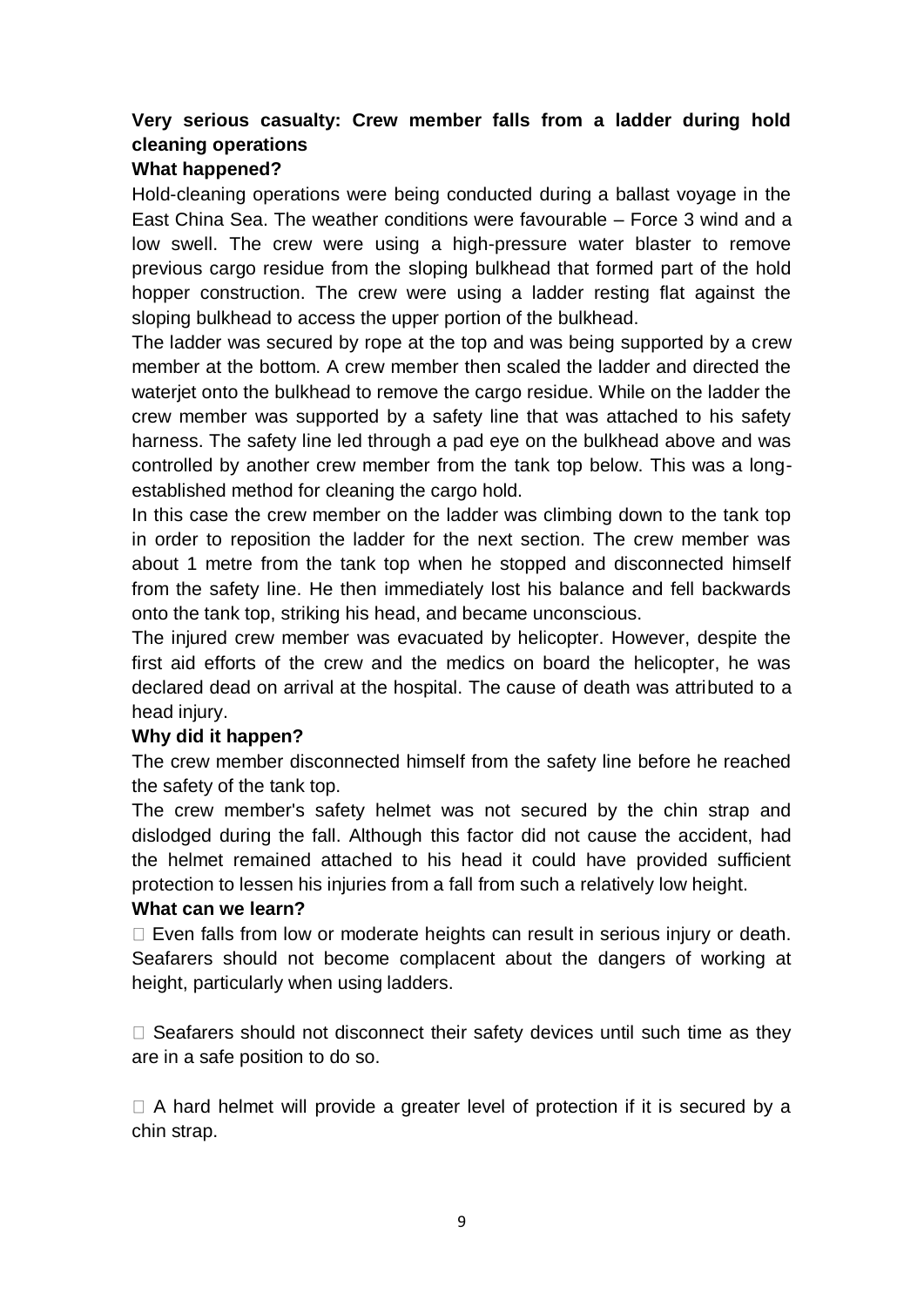# **Very serious casualty: Crew member falls from a ladder during hold cleaning operations**

## **What happened?**

Hold-cleaning operations were being conducted during a ballast voyage in the East China Sea. The weather conditions were favourable – Force 3 wind and a low swell. The crew were using a high-pressure water blaster to remove previous cargo residue from the sloping bulkhead that formed part of the hold hopper construction. The crew were using a ladder resting flat against the sloping bulkhead to access the upper portion of the bulkhead.

The ladder was secured by rope at the top and was being supported by a crew member at the bottom. A crew member then scaled the ladder and directed the waterjet onto the bulkhead to remove the cargo residue. While on the ladder the crew member was supported by a safety line that was attached to his safety harness. The safety line led through a pad eye on the bulkhead above and was controlled by another crew member from the tank top below. This was a longestablished method for cleaning the cargo hold.

In this case the crew member on the ladder was climbing down to the tank top in order to reposition the ladder for the next section. The crew member was about 1 metre from the tank top when he stopped and disconnected himself from the safety line. He then immediately lost his balance and fell backwards onto the tank top, striking his head, and became unconscious.

The injured crew member was evacuated by helicopter. However, despite the first aid efforts of the crew and the medics on board the helicopter, he was declared dead on arrival at the hospital. The cause of death was attributed to a head injury.

## **Why did it happen?**

The crew member disconnected himself from the safety line before he reached the safety of the tank top.

The crew member's safety helmet was not secured by the chin strap and dislodged during the fall. Although this factor did not cause the accident, had the helmet remained attached to his head it could have provided sufficient protection to lessen his injuries from a fall from such a relatively low height.

## **What can we learn?**

 $\Box$  Even falls from low or moderate heights can result in serious injury or death. Seafarers should not become complacent about the dangers of working at height, particularly when using ladders.

 $\Box$  Seafarers should not disconnect their safety devices until such time as they are in a safe position to do so.

 $\Box$  A hard helmet will provide a greater level of protection if it is secured by a chin strap.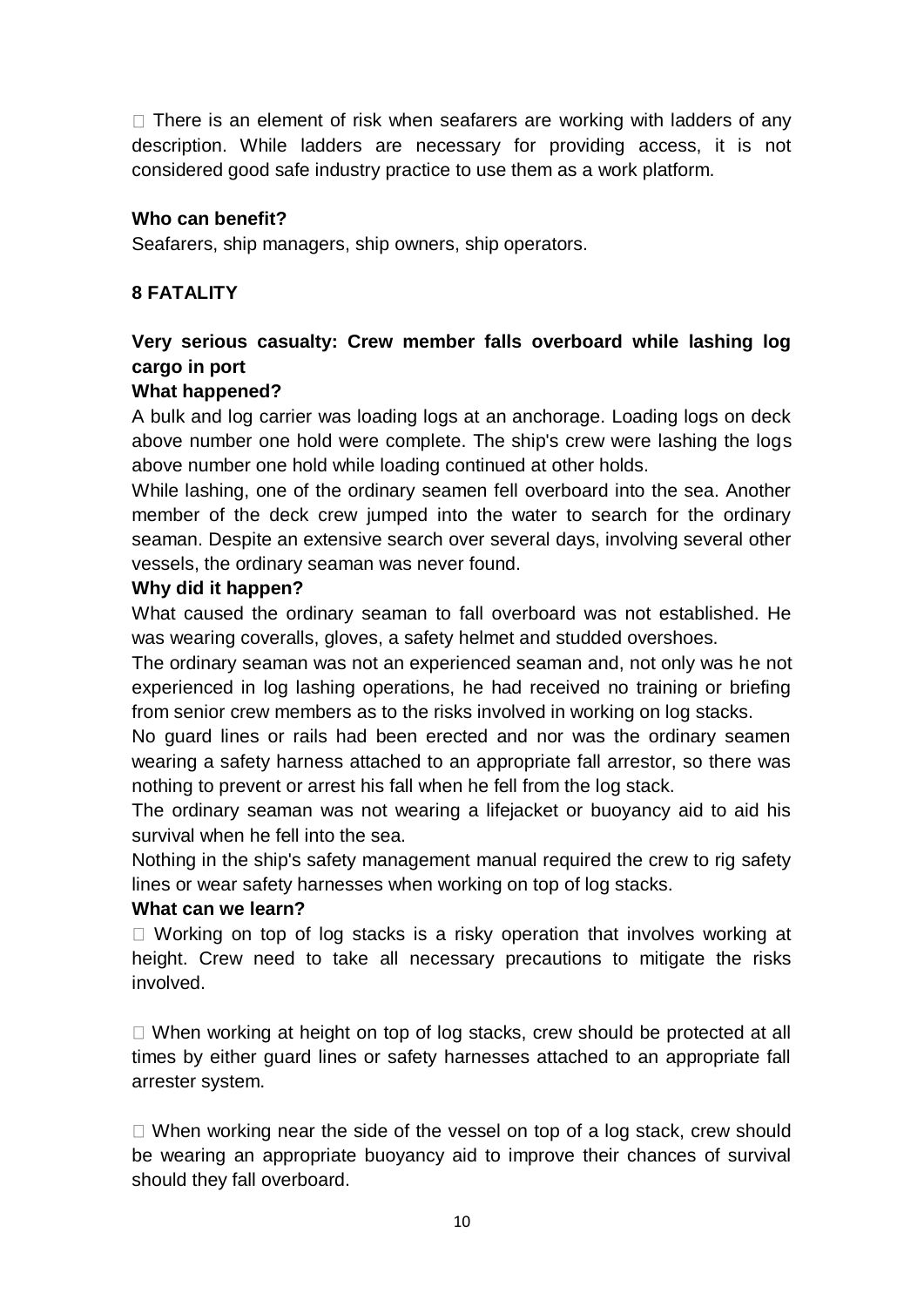$\Box$  There is an element of risk when seafarers are working with ladders of any description. While ladders are necessary for providing access, it is not considered good safe industry practice to use them as a work platform.

#### **Who can benefit?**

Seafarers, ship managers, ship owners, ship operators.

# **8 FATALITY**

# **Very serious casualty: Crew member falls overboard while lashing log cargo in port**

#### **What happened?**

A bulk and log carrier was loading logs at an anchorage. Loading logs on deck above number one hold were complete. The ship's crew were lashing the logs above number one hold while loading continued at other holds.

While lashing, one of the ordinary seamen fell overboard into the sea. Another member of the deck crew jumped into the water to search for the ordinary seaman. Despite an extensive search over several days, involving several other vessels, the ordinary seaman was never found.

#### **Why did it happen?**

What caused the ordinary seaman to fall overboard was not established. He was wearing coveralls, gloves, a safety helmet and studded overshoes.

The ordinary seaman was not an experienced seaman and, not only was he not experienced in log lashing operations, he had received no training or briefing from senior crew members as to the risks involved in working on log stacks.

No guard lines or rails had been erected and nor was the ordinary seamen wearing a safety harness attached to an appropriate fall arrestor, so there was nothing to prevent or arrest his fall when he fell from the log stack.

The ordinary seaman was not wearing a lifejacket or buoyancy aid to aid his survival when he fell into the sea.

Nothing in the ship's safety management manual required the crew to rig safety lines or wear safety harnesses when working on top of log stacks.

#### **What can we learn?**

 $\Box$  Working on top of log stacks is a risky operation that involves working at height. Crew need to take all necessary precautions to mitigate the risks involved.

 $\Box$  When working at height on top of log stacks, crew should be protected at all times by either guard lines or safety harnesses attached to an appropriate fall arrester system.

 $\Box$  When working near the side of the vessel on top of a log stack, crew should be wearing an appropriate buoyancy aid to improve their chances of survival should they fall overboard.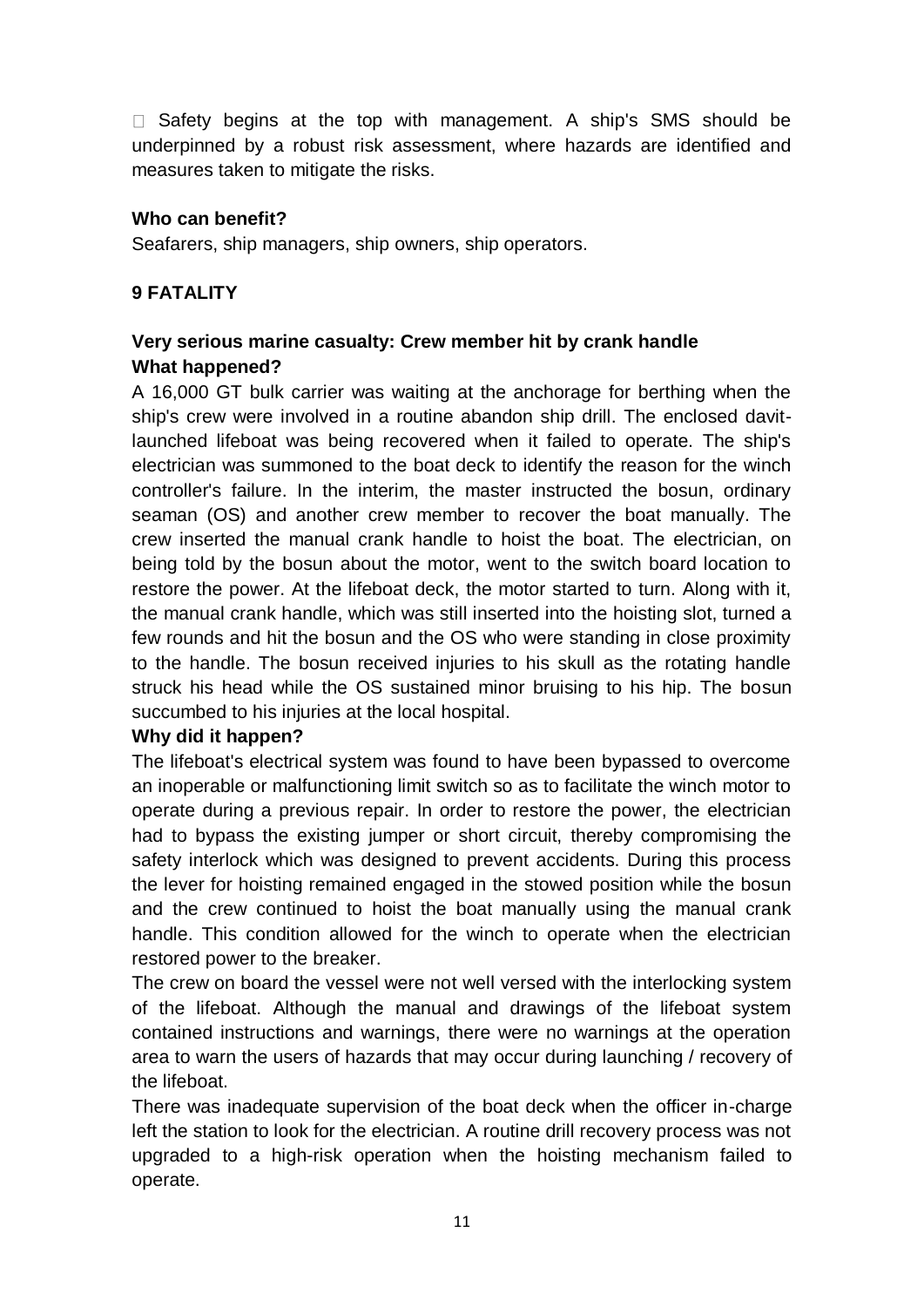$\Box$  Safety begins at the top with management. A ship's SMS should be underpinned by a robust risk assessment, where hazards are identified and measures taken to mitigate the risks.

## **Who can benefit?**

Seafarers, ship managers, ship owners, ship operators.

# **9 FATALITY**

## **Very serious marine casualty: Crew member hit by crank handle What happened?**

A 16,000 GT bulk carrier was waiting at the anchorage for berthing when the ship's crew were involved in a routine abandon ship drill. The enclosed davitlaunched lifeboat was being recovered when it failed to operate. The ship's electrician was summoned to the boat deck to identify the reason for the winch controller's failure. In the interim, the master instructed the bosun, ordinary seaman (OS) and another crew member to recover the boat manually. The crew inserted the manual crank handle to hoist the boat. The electrician, on being told by the bosun about the motor, went to the switch board location to restore the power. At the lifeboat deck, the motor started to turn. Along with it, the manual crank handle, which was still inserted into the hoisting slot, turned a few rounds and hit the bosun and the OS who were standing in close proximity to the handle. The bosun received injuries to his skull as the rotating handle struck his head while the OS sustained minor bruising to his hip. The bosun succumbed to his injuries at the local hospital.

#### **Why did it happen?**

The lifeboat's electrical system was found to have been bypassed to overcome an inoperable or malfunctioning limit switch so as to facilitate the winch motor to operate during a previous repair. In order to restore the power, the electrician had to bypass the existing jumper or short circuit, thereby compromising the safety interlock which was designed to prevent accidents. During this process the lever for hoisting remained engaged in the stowed position while the bosun and the crew continued to hoist the boat manually using the manual crank handle. This condition allowed for the winch to operate when the electrician restored power to the breaker.

The crew on board the vessel were not well versed with the interlocking system of the lifeboat. Although the manual and drawings of the lifeboat system contained instructions and warnings, there were no warnings at the operation area to warn the users of hazards that may occur during launching / recovery of the lifeboat.

There was inadequate supervision of the boat deck when the officer in-charge left the station to look for the electrician. A routine drill recovery process was not upgraded to a high-risk operation when the hoisting mechanism failed to operate.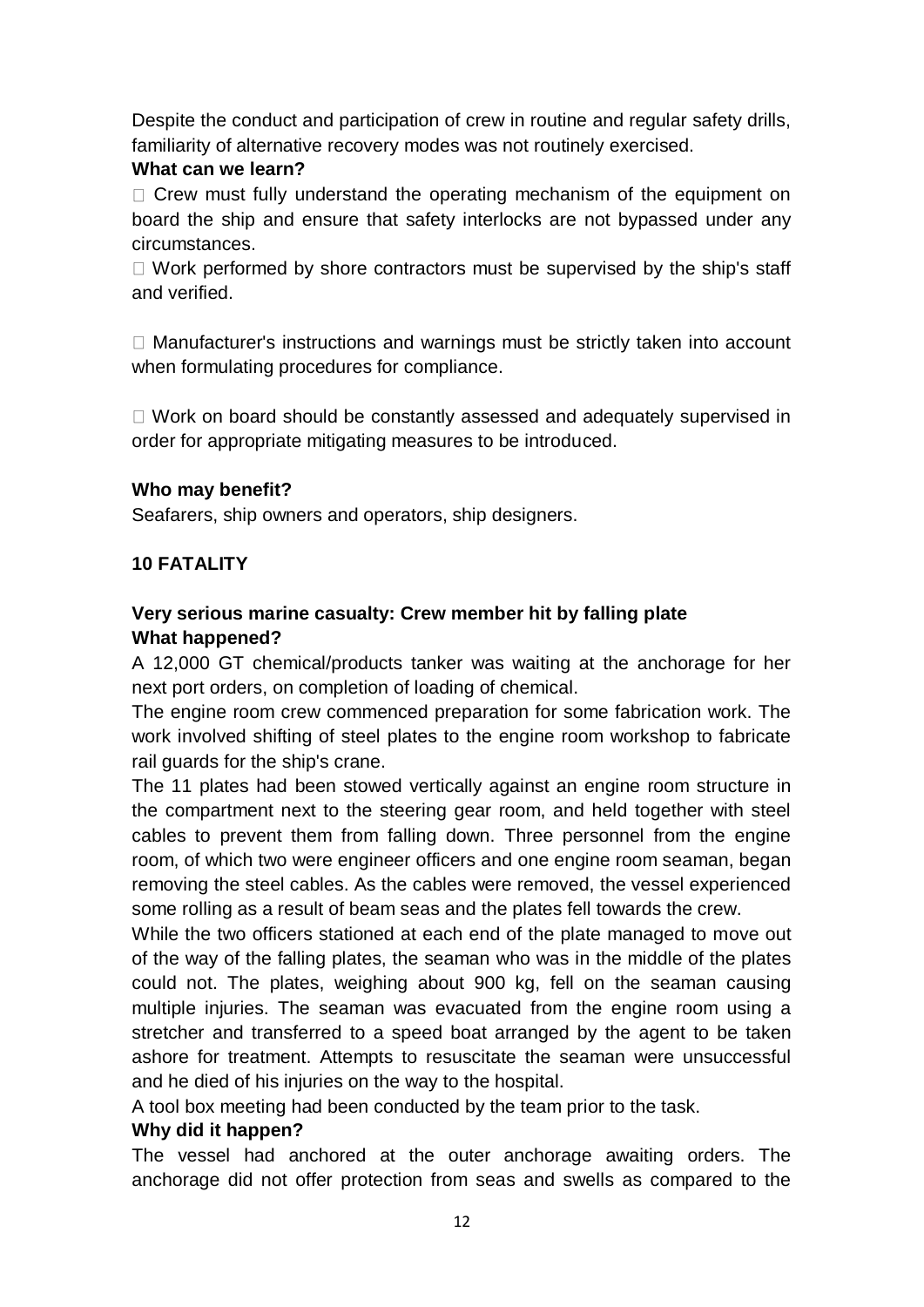Despite the conduct and participation of crew in routine and regular safety drills, familiarity of alternative recovery modes was not routinely exercised.

## **What can we learn?**

 $\Box$  Crew must fully understand the operating mechanism of the equipment on board the ship and ensure that safety interlocks are not bypassed under any circumstances.

 $\Box$  Work performed by shore contractors must be supervised by the ship's staff and verified.

 $\Box$  Manufacturer's instructions and warnings must be strictly taken into account when formulating procedures for compliance.

 $\Box$  Work on board should be constantly assessed and adequately supervised in order for appropriate mitigating measures to be introduced.

## **Who may benefit?**

Seafarers, ship owners and operators, ship designers.

## **10 FATALITY**

# **Very serious marine casualty: Crew member hit by falling plate What happened?**

A 12,000 GT chemical/products tanker was waiting at the anchorage for her next port orders, on completion of loading of chemical.

The engine room crew commenced preparation for some fabrication work. The work involved shifting of steel plates to the engine room workshop to fabricate rail guards for the ship's crane.

The 11 plates had been stowed vertically against an engine room structure in the compartment next to the steering gear room, and held together with steel cables to prevent them from falling down. Three personnel from the engine room, of which two were engineer officers and one engine room seaman, began removing the steel cables. As the cables were removed, the vessel experienced some rolling as a result of beam seas and the plates fell towards the crew.

While the two officers stationed at each end of the plate managed to move out of the way of the falling plates, the seaman who was in the middle of the plates could not. The plates, weighing about 900 kg, fell on the seaman causing multiple injuries. The seaman was evacuated from the engine room using a stretcher and transferred to a speed boat arranged by the agent to be taken ashore for treatment. Attempts to resuscitate the seaman were unsuccessful and he died of his injuries on the way to the hospital.

A tool box meeting had been conducted by the team prior to the task.

## **Why did it happen?**

The vessel had anchored at the outer anchorage awaiting orders. The anchorage did not offer protection from seas and swells as compared to the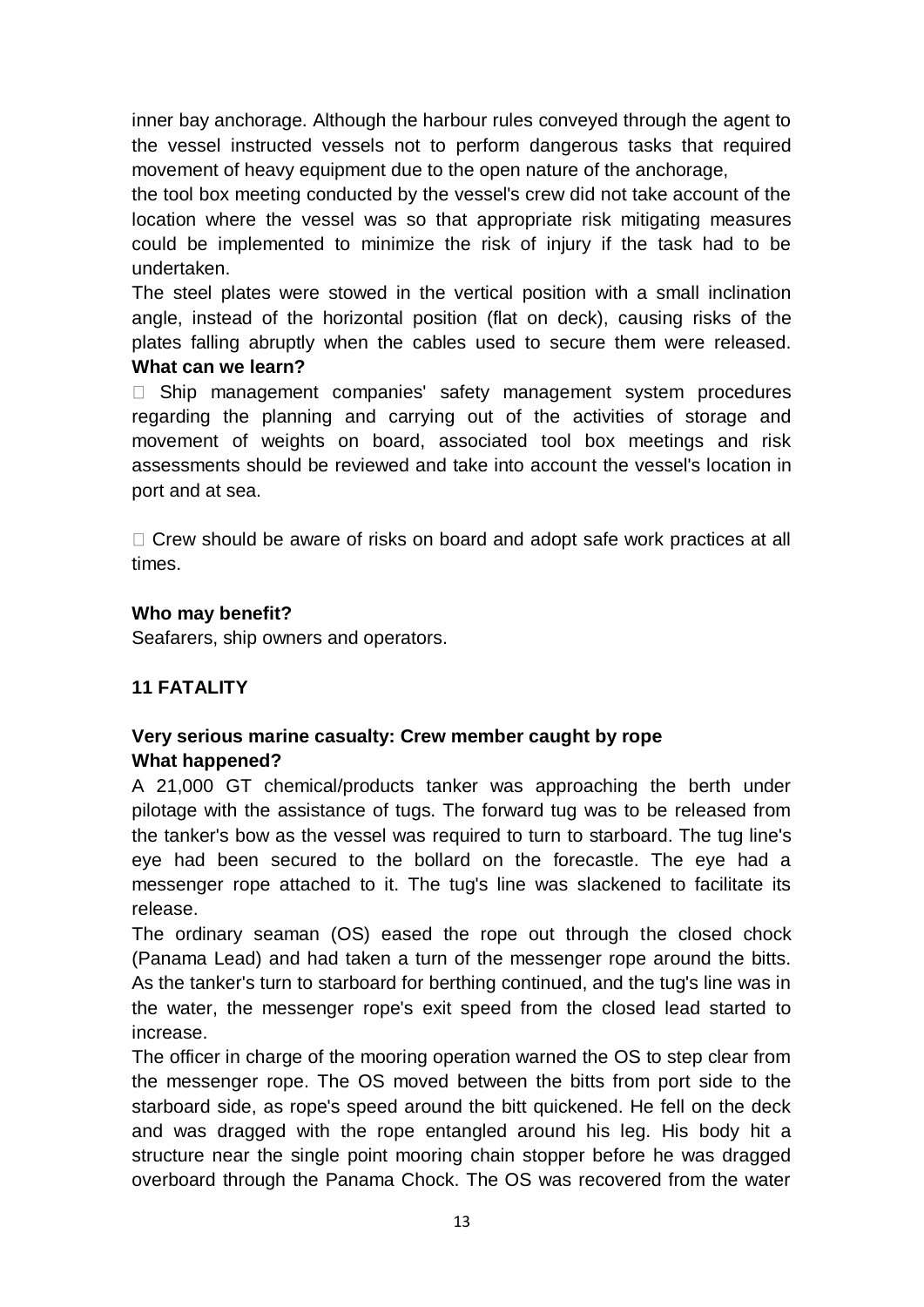inner bay anchorage. Although the harbour rules conveyed through the agent to the vessel instructed vessels not to perform dangerous tasks that required movement of heavy equipment due to the open nature of the anchorage,

the tool box meeting conducted by the vessel's crew did not take account of the location where the vessel was so that appropriate risk mitigating measures could be implemented to minimize the risk of injury if the task had to be undertaken.

The steel plates were stowed in the vertical position with a small inclination angle, instead of the horizontal position (flat on deck), causing risks of the plates falling abruptly when the cables used to secure them were released. **What can we learn?** 

 $\Box$  Ship management companies' safety management system procedures regarding the planning and carrying out of the activities of storage and movement of weights on board, associated tool box meetings and risk assessments should be reviewed and take into account the vessel's location in port and at sea.

 $\Box$  Crew should be aware of risks on board and adopt safe work practices at all times.

# **Who may benefit?**

Seafarers, ship owners and operators.

# **11 FATALITY**

# **Very serious marine casualty: Crew member caught by rope What happened?**

A 21,000 GT chemical/products tanker was approaching the berth under pilotage with the assistance of tugs. The forward tug was to be released from the tanker's bow as the vessel was required to turn to starboard. The tug line's eye had been secured to the bollard on the forecastle. The eye had a messenger rope attached to it. The tug's line was slackened to facilitate its release.

The ordinary seaman (OS) eased the rope out through the closed chock (Panama Lead) and had taken a turn of the messenger rope around the bitts. As the tanker's turn to starboard for berthing continued, and the tug's line was in the water, the messenger rope's exit speed from the closed lead started to increase.

The officer in charge of the mooring operation warned the OS to step clear from the messenger rope. The OS moved between the bitts from port side to the starboard side, as rope's speed around the bitt quickened. He fell on the deck and was dragged with the rope entangled around his leg. His body hit a structure near the single point mooring chain stopper before he was dragged overboard through the Panama Chock. The OS was recovered from the water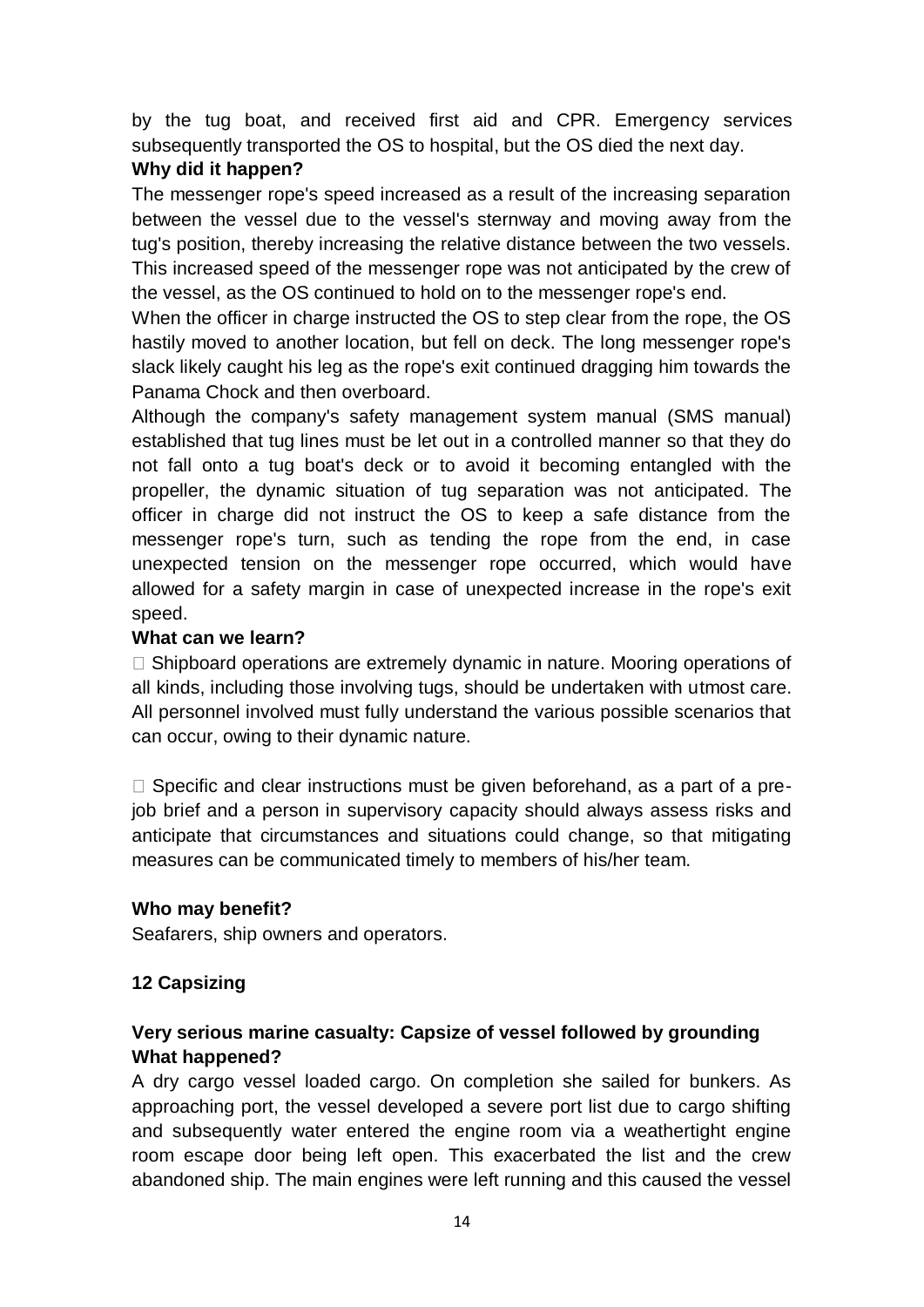by the tug boat, and received first aid and CPR. Emergency services subsequently transported the OS to hospital, but the OS died the next day.

# **Why did it happen?**

The messenger rope's speed increased as a result of the increasing separation between the vessel due to the vessel's sternway and moving away from the tug's position, thereby increasing the relative distance between the two vessels. This increased speed of the messenger rope was not anticipated by the crew of the vessel, as the OS continued to hold on to the messenger rope's end.

When the officer in charge instructed the OS to step clear from the rope, the OS hastily moved to another location, but fell on deck. The long messenger rope's slack likely caught his leg as the rope's exit continued dragging him towards the Panama Chock and then overboard.

Although the company's safety management system manual (SMS manual) established that tug lines must be let out in a controlled manner so that they do not fall onto a tug boat's deck or to avoid it becoming entangled with the propeller, the dynamic situation of tug separation was not anticipated. The officer in charge did not instruct the OS to keep a safe distance from the messenger rope's turn, such as tending the rope from the end, in case unexpected tension on the messenger rope occurred, which would have allowed for a safety margin in case of unexpected increase in the rope's exit speed.

# **What can we learn?**

 $\Box$  Shipboard operations are extremely dynamic in nature. Mooring operations of all kinds, including those involving tugs, should be undertaken with utmost care. All personnel involved must fully understand the various possible scenarios that can occur, owing to their dynamic nature.

 $\Box$  Specific and clear instructions must be given beforehand, as a part of a prejob brief and a person in supervisory capacity should always assess risks and anticipate that circumstances and situations could change, so that mitigating measures can be communicated timely to members of his/her team.

## **Who may benefit?**

Seafarers, ship owners and operators.

# **12 Capsizing**

# **Very serious marine casualty: Capsize of vessel followed by grounding What happened?**

A dry cargo vessel loaded cargo. On completion she sailed for bunkers. As approaching port, the vessel developed a severe port list due to cargo shifting and subsequently water entered the engine room via a weathertight engine room escape door being left open. This exacerbated the list and the crew abandoned ship. The main engines were left running and this caused the vessel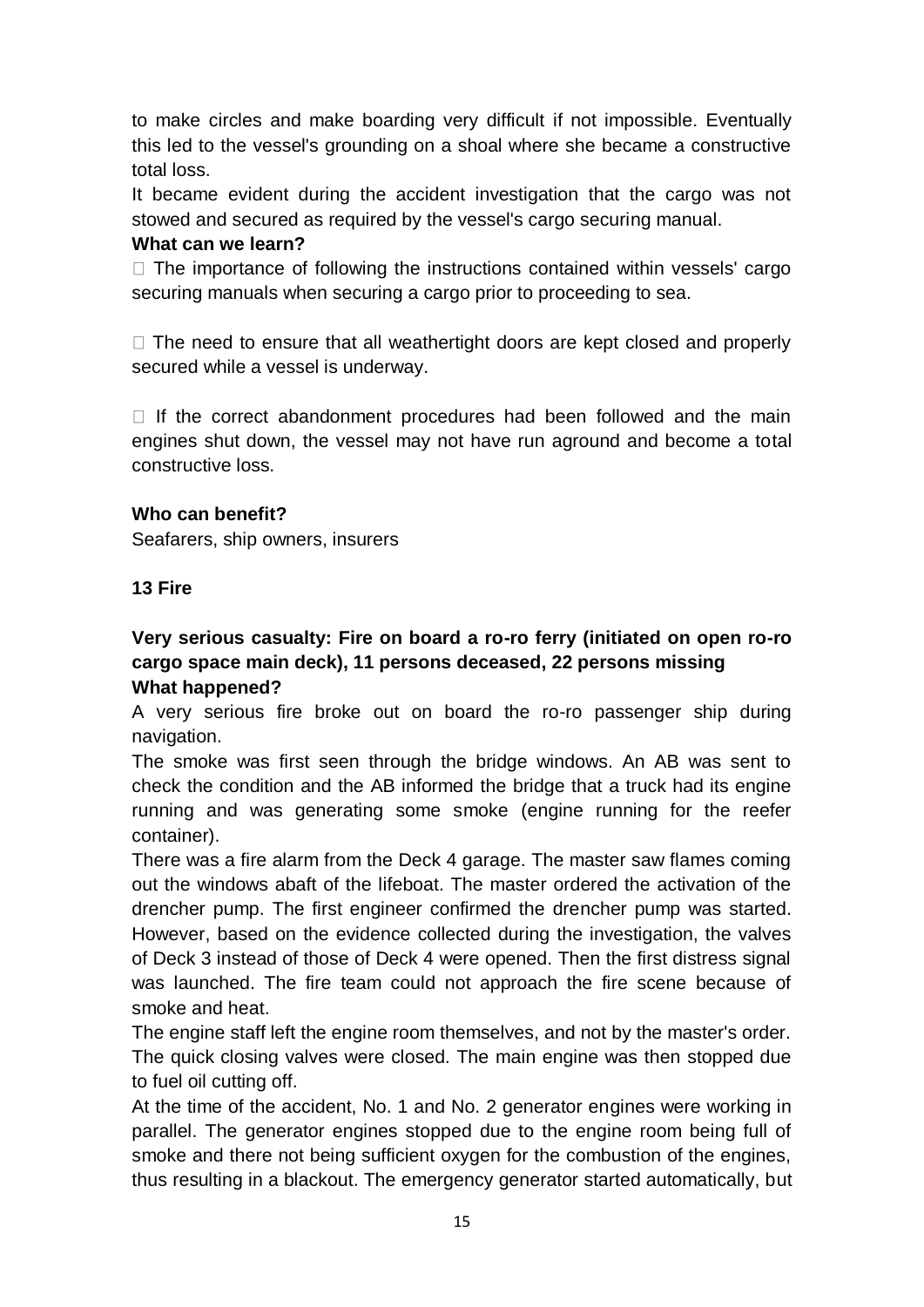to make circles and make boarding very difficult if not impossible. Eventually this led to the vessel's grounding on a shoal where she became a constructive total loss.

It became evident during the accident investigation that the cargo was not stowed and secured as required by the vessel's cargo securing manual.

#### **What can we learn?**

 $\Box$  The importance of following the instructions contained within vessels' cargo securing manuals when securing a cargo prior to proceeding to sea.

 $\Box$  The need to ensure that all weathertight doors are kept closed and properly secured while a vessel is underway.

 $\Box$  If the correct abandonment procedures had been followed and the main engines shut down, the vessel may not have run aground and become a total constructive loss.

## **Who can benefit?**

Seafarers, ship owners, insurers

#### **13 Fire**

# **Very serious casualty: Fire on board a ro-ro ferry (initiated on open ro-ro cargo space main deck), 11 persons deceased, 22 persons missing What happened?**

A very serious fire broke out on board the ro-ro passenger ship during navigation.

The smoke was first seen through the bridge windows. An AB was sent to check the condition and the AB informed the bridge that a truck had its engine running and was generating some smoke (engine running for the reefer container).

There was a fire alarm from the Deck 4 garage. The master saw flames coming out the windows abaft of the lifeboat. The master ordered the activation of the drencher pump. The first engineer confirmed the drencher pump was started. However, based on the evidence collected during the investigation, the valves of Deck 3 instead of those of Deck 4 were opened. Then the first distress signal was launched. The fire team could not approach the fire scene because of smoke and heat.

The engine staff left the engine room themselves, and not by the master's order. The quick closing valves were closed. The main engine was then stopped due to fuel oil cutting off.

At the time of the accident, No. 1 and No. 2 generator engines were working in parallel. The generator engines stopped due to the engine room being full of smoke and there not being sufficient oxygen for the combustion of the engines, thus resulting in a blackout. The emergency generator started automatically, but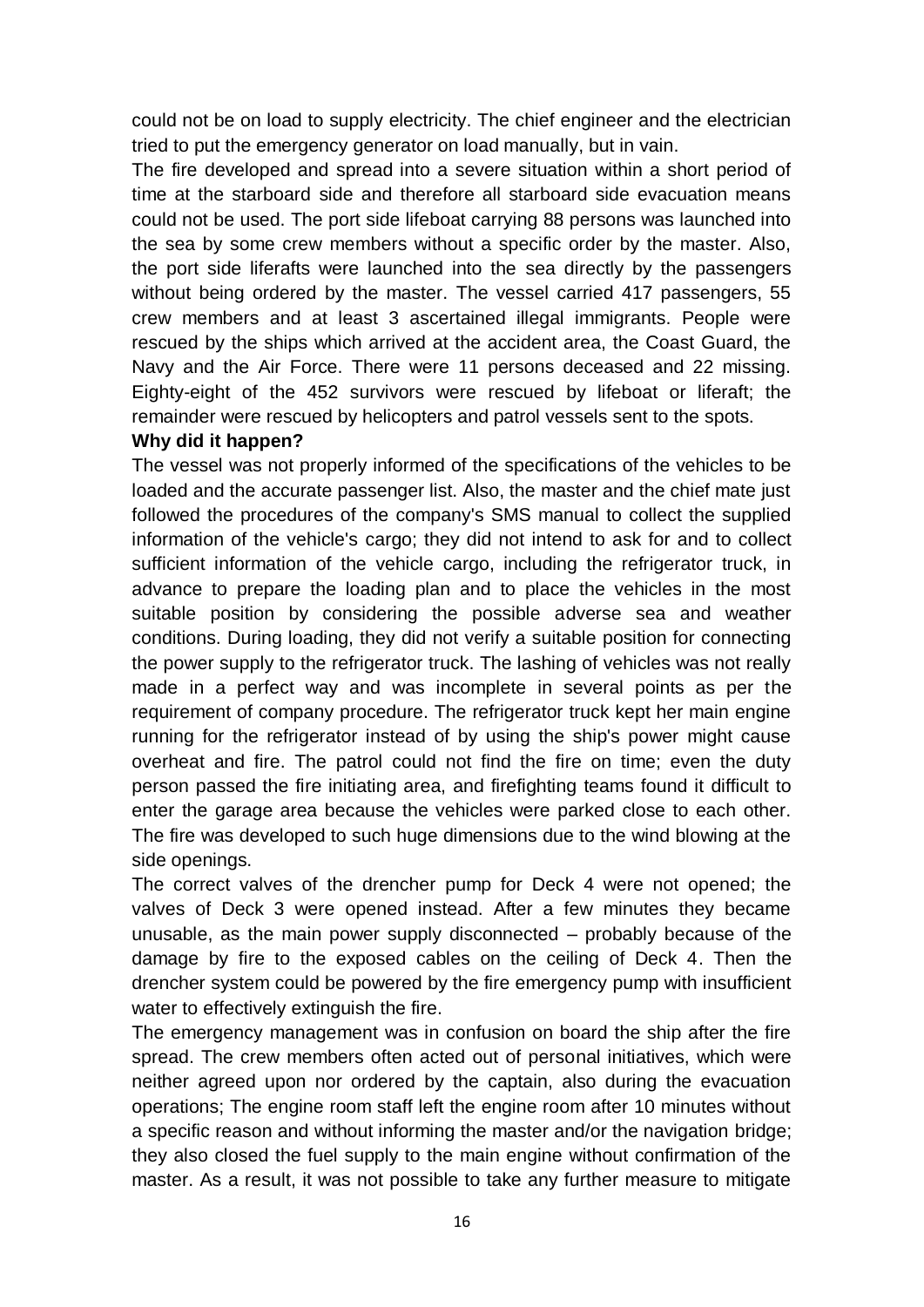could not be on load to supply electricity. The chief engineer and the electrician tried to put the emergency generator on load manually, but in vain.

The fire developed and spread into a severe situation within a short period of time at the starboard side and therefore all starboard side evacuation means could not be used. The port side lifeboat carrying 88 persons was launched into the sea by some crew members without a specific order by the master. Also, the port side liferafts were launched into the sea directly by the passengers without being ordered by the master. The vessel carried 417 passengers, 55 crew members and at least 3 ascertained illegal immigrants. People were rescued by the ships which arrived at the accident area, the Coast Guard, the Navy and the Air Force. There were 11 persons deceased and 22 missing. Eighty-eight of the 452 survivors were rescued by lifeboat or liferaft; the remainder were rescued by helicopters and patrol vessels sent to the spots.

#### **Why did it happen?**

The vessel was not properly informed of the specifications of the vehicles to be loaded and the accurate passenger list. Also, the master and the chief mate just followed the procedures of the company's SMS manual to collect the supplied information of the vehicle's cargo; they did not intend to ask for and to collect sufficient information of the vehicle cargo, including the refrigerator truck, in advance to prepare the loading plan and to place the vehicles in the most suitable position by considering the possible adverse sea and weather conditions. During loading, they did not verify a suitable position for connecting the power supply to the refrigerator truck. The lashing of vehicles was not really made in a perfect way and was incomplete in several points as per the requirement of company procedure. The refrigerator truck kept her main engine running for the refrigerator instead of by using the ship's power might cause overheat and fire. The patrol could not find the fire on time; even the duty person passed the fire initiating area, and firefighting teams found it difficult to enter the garage area because the vehicles were parked close to each other. The fire was developed to such huge dimensions due to the wind blowing at the side openings.

The correct valves of the drencher pump for Deck 4 were not opened; the valves of Deck 3 were opened instead. After a few minutes they became unusable, as the main power supply disconnected – probably because of the damage by fire to the exposed cables on the ceiling of Deck 4. Then the drencher system could be powered by the fire emergency pump with insufficient water to effectively extinguish the fire.

The emergency management was in confusion on board the ship after the fire spread. The crew members often acted out of personal initiatives, which were neither agreed upon nor ordered by the captain, also during the evacuation operations; The engine room staff left the engine room after 10 minutes without a specific reason and without informing the master and/or the navigation bridge; they also closed the fuel supply to the main engine without confirmation of the master. As a result, it was not possible to take any further measure to mitigate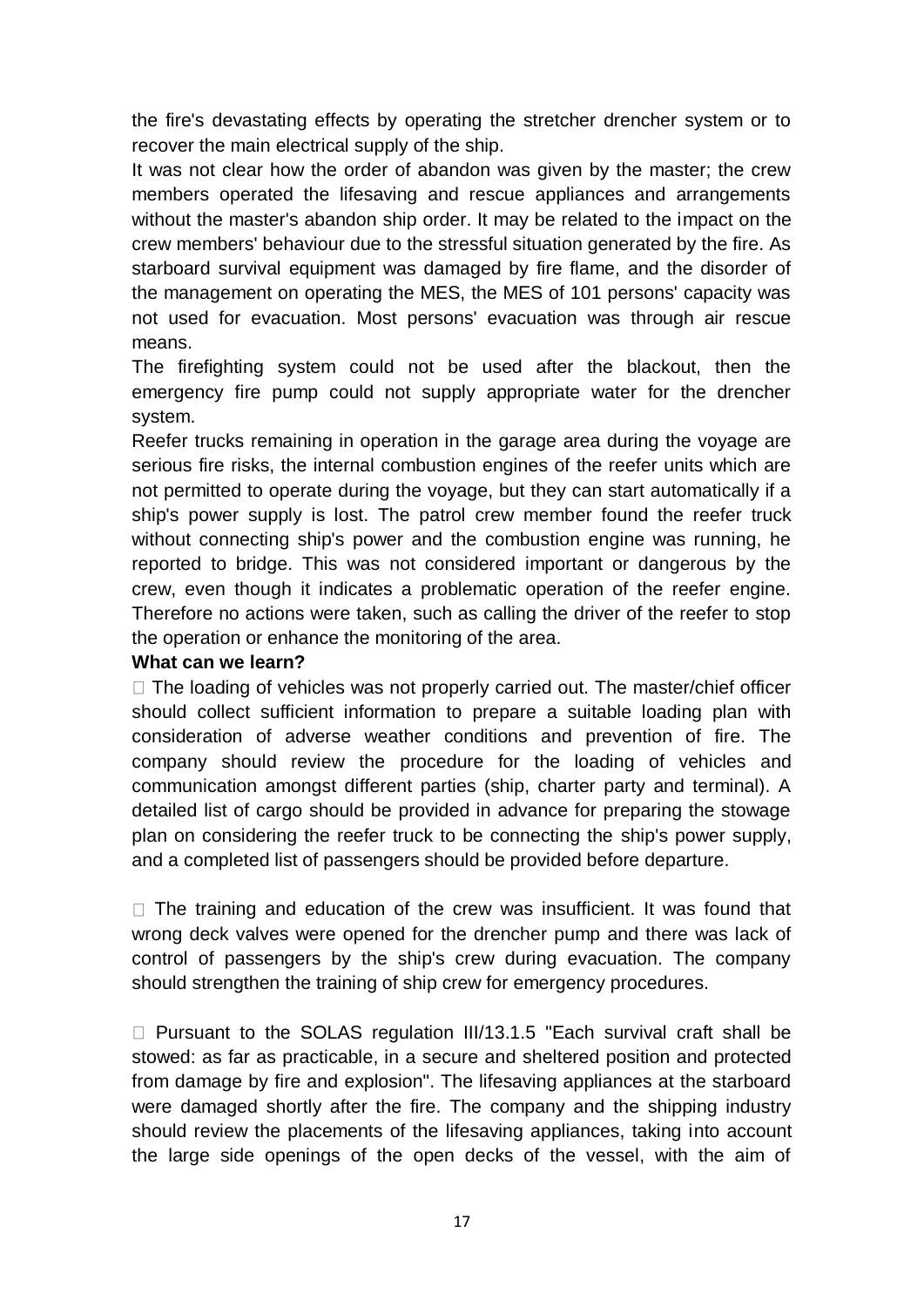the fire's devastating effects by operating the stretcher drencher system or to recover the main electrical supply of the ship.

It was not clear how the order of abandon was given by the master; the crew members operated the lifesaving and rescue appliances and arrangements without the master's abandon ship order. It may be related to the impact on the crew members' behaviour due to the stressful situation generated by the fire. As starboard survival equipment was damaged by fire flame, and the disorder of the management on operating the MES, the MES of 101 persons' capacity was not used for evacuation. Most persons' evacuation was through air rescue means.

The firefighting system could not be used after the blackout, then the emergency fire pump could not supply appropriate water for the drencher system.

Reefer trucks remaining in operation in the garage area during the voyage are serious fire risks, the internal combustion engines of the reefer units which are not permitted to operate during the voyage, but they can start automatically if a ship's power supply is lost. The patrol crew member found the reefer truck without connecting ship's power and the combustion engine was running, he reported to bridge. This was not considered important or dangerous by the crew, even though it indicates a problematic operation of the reefer engine. Therefore no actions were taken, such as calling the driver of the reefer to stop the operation or enhance the monitoring of the area.

#### **What can we learn?**

 $\Box$  The loading of vehicles was not properly carried out. The master/chief officer should collect sufficient information to prepare a suitable loading plan with consideration of adverse weather conditions and prevention of fire. The company should review the procedure for the loading of vehicles and communication amongst different parties (ship, charter party and terminal). A detailed list of cargo should be provided in advance for preparing the stowage plan on considering the reefer truck to be connecting the ship's power supply, and a completed list of passengers should be provided before departure.

 $\Box$  The training and education of the crew was insufficient. It was found that wrong deck valves were opened for the drencher pump and there was lack of control of passengers by the ship's crew during evacuation. The company should strengthen the training of ship crew for emergency procedures.

 $\Box$  Pursuant to the SOLAS regulation III/13.1.5 "Each survival craft shall be stowed: as far as practicable, in a secure and sheltered position and protected from damage by fire and explosion". The lifesaving appliances at the starboard were damaged shortly after the fire. The company and the shipping industry should review the placements of the lifesaving appliances, taking into account the large side openings of the open decks of the vessel, with the aim of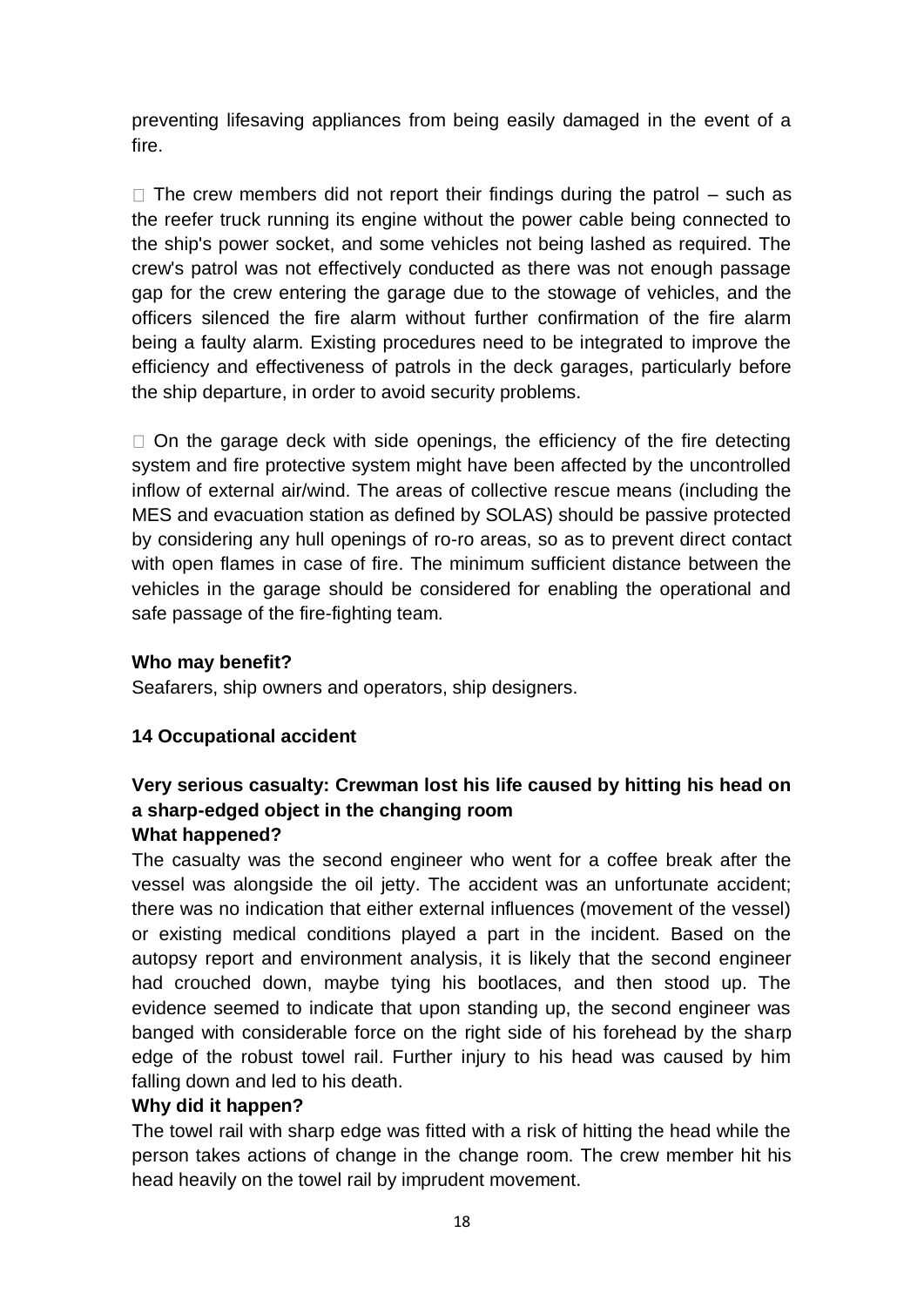preventing lifesaving appliances from being easily damaged in the event of a fire.

 $\Box$  The crew members did not report their findings during the patrol – such as the reefer truck running its engine without the power cable being connected to the ship's power socket, and some vehicles not being lashed as required. The crew's patrol was not effectively conducted as there was not enough passage gap for the crew entering the garage due to the stowage of vehicles, and the officers silenced the fire alarm without further confirmation of the fire alarm being a faulty alarm. Existing procedures need to be integrated to improve the efficiency and effectiveness of patrols in the deck garages, particularly before the ship departure, in order to avoid security problems.

 $\Box$  On the garage deck with side openings, the efficiency of the fire detecting system and fire protective system might have been affected by the uncontrolled inflow of external air/wind. The areas of collective rescue means (including the MES and evacuation station as defined by SOLAS) should be passive protected by considering any hull openings of ro-ro areas, so as to prevent direct contact with open flames in case of fire. The minimum sufficient distance between the vehicles in the garage should be considered for enabling the operational and safe passage of the fire-fighting team.

## **Who may benefit?**

Seafarers, ship owners and operators, ship designers.

# **14 Occupational accident**

## **Very serious casualty: Crewman lost his life caused by hitting his head on a sharp-edged object in the changing room What happened?**

The casualty was the second engineer who went for a coffee break after the vessel was alongside the oil jetty. The accident was an unfortunate accident; there was no indication that either external influences (movement of the vessel) or existing medical conditions played a part in the incident. Based on the autopsy report and environment analysis, it is likely that the second engineer had crouched down, maybe tying his bootlaces, and then stood up. The evidence seemed to indicate that upon standing up, the second engineer was banged with considerable force on the right side of his forehead by the sharp edge of the robust towel rail. Further injury to his head was caused by him falling down and led to his death.

## **Why did it happen?**

The towel rail with sharp edge was fitted with a risk of hitting the head while the person takes actions of change in the change room. The crew member hit his head heavily on the towel rail by imprudent movement.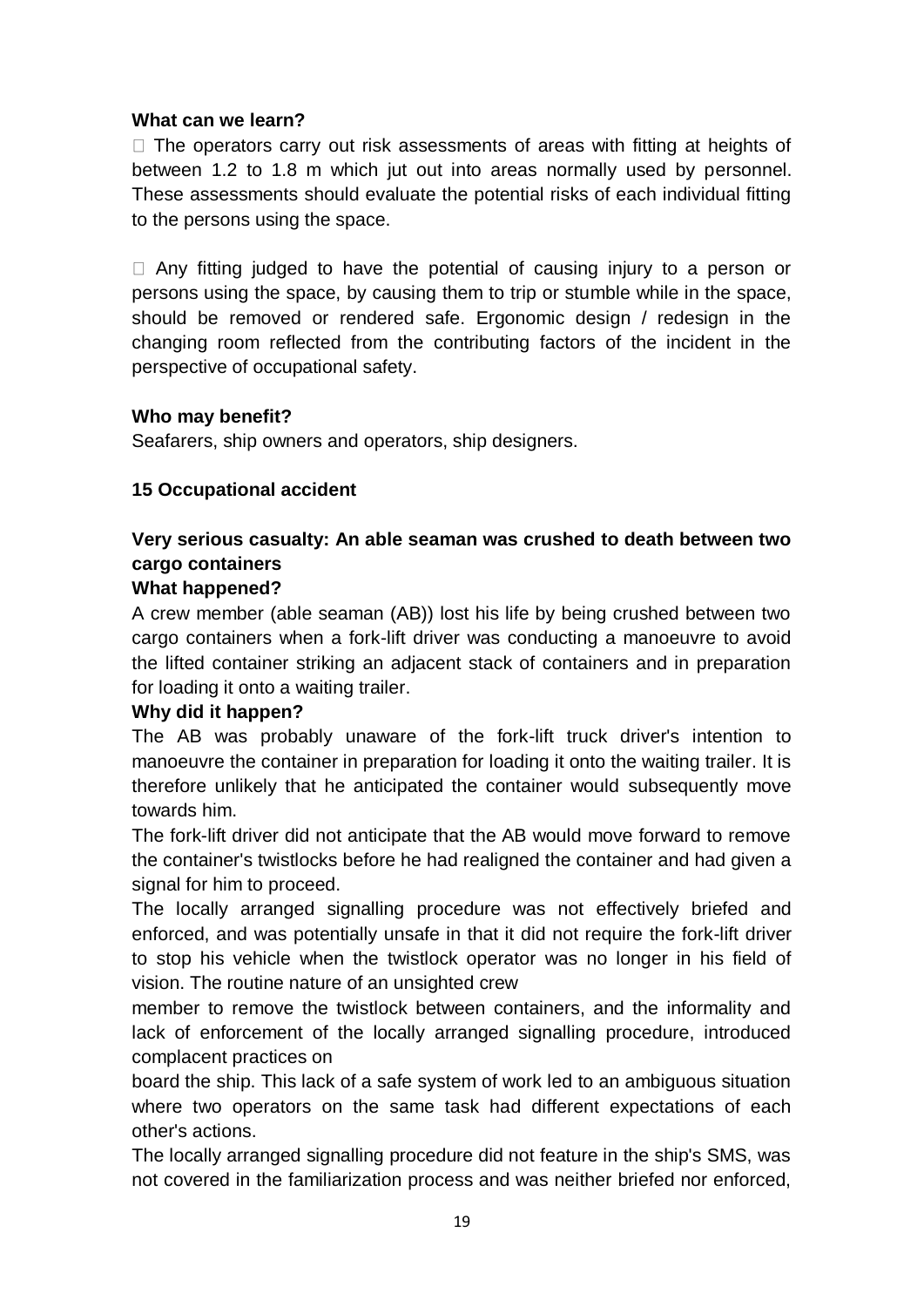#### **What can we learn?**

 $\Box$  The operators carry out risk assessments of areas with fitting at heights of between 1.2 to 1.8 m which jut out into areas normally used by personnel. These assessments should evaluate the potential risks of each individual fitting to the persons using the space.

 $\Box$  Any fitting judged to have the potential of causing injury to a person or persons using the space, by causing them to trip or stumble while in the space, should be removed or rendered safe. Ergonomic design / redesign in the changing room reflected from the contributing factors of the incident in the perspective of occupational safety.

#### **Who may benefit?**

Seafarers, ship owners and operators, ship designers.

## **15 Occupational accident**

# **Very serious casualty: An able seaman was crushed to death between two cargo containers**

#### **What happened?**

A crew member (able seaman (AB)) lost his life by being crushed between two cargo containers when a fork-lift driver was conducting a manoeuvre to avoid the lifted container striking an adjacent stack of containers and in preparation for loading it onto a waiting trailer.

## **Why did it happen?**

The AB was probably unaware of the fork-lift truck driver's intention to manoeuvre the container in preparation for loading it onto the waiting trailer. It is therefore unlikely that he anticipated the container would subsequently move towards him.

The fork-lift driver did not anticipate that the AB would move forward to remove the container's twistlocks before he had realigned the container and had given a signal for him to proceed.

The locally arranged signalling procedure was not effectively briefed and enforced, and was potentially unsafe in that it did not require the fork-lift driver to stop his vehicle when the twistlock operator was no longer in his field of vision. The routine nature of an unsighted crew

member to remove the twistlock between containers, and the informality and lack of enforcement of the locally arranged signalling procedure, introduced complacent practices on

board the ship. This lack of a safe system of work led to an ambiguous situation where two operators on the same task had different expectations of each other's actions.

The locally arranged signalling procedure did not feature in the ship's SMS, was not covered in the familiarization process and was neither briefed nor enforced,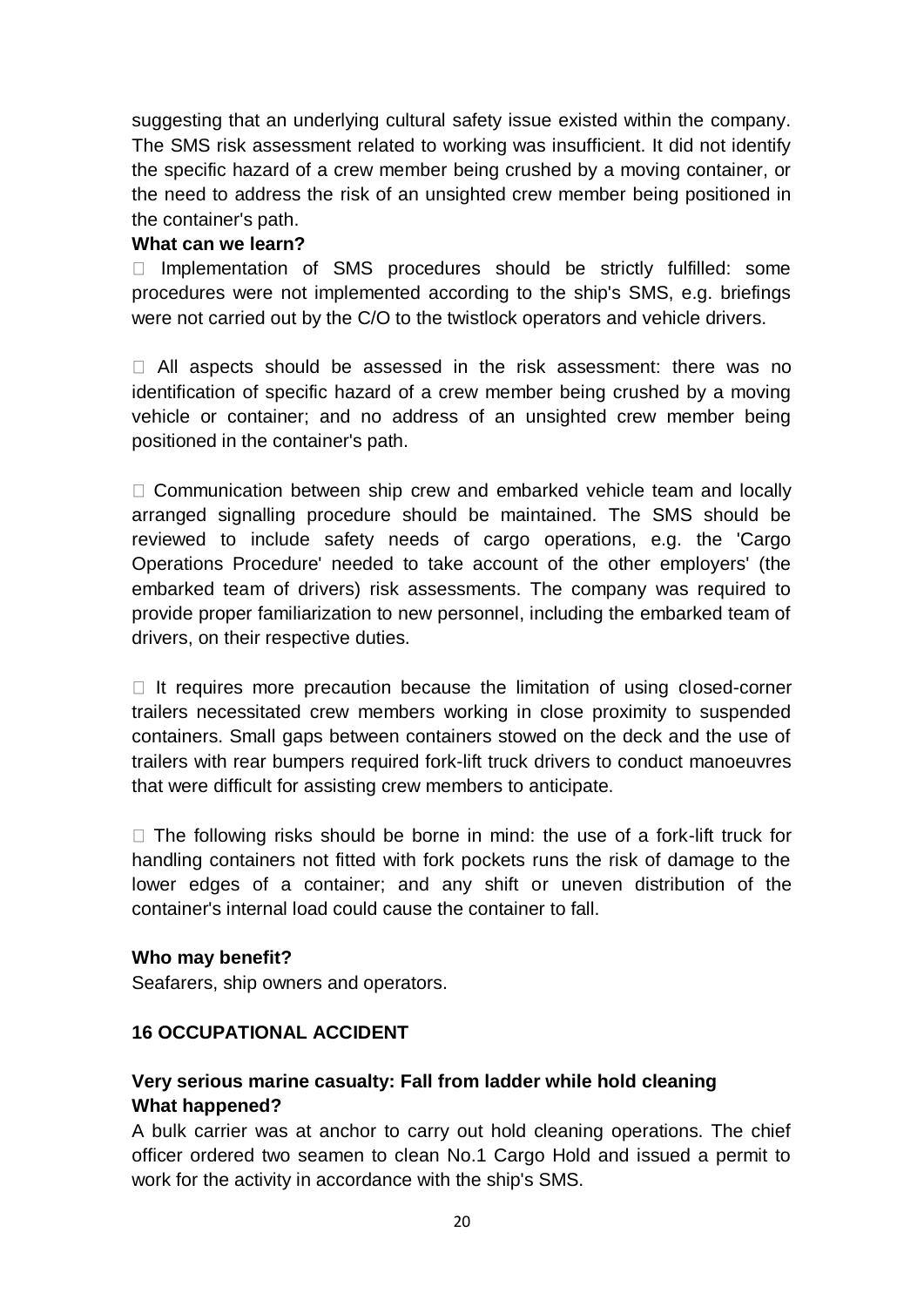suggesting that an underlying cultural safety issue existed within the company. The SMS risk assessment related to working was insufficient. It did not identify the specific hazard of a crew member being crushed by a moving container, or the need to address the risk of an unsighted crew member being positioned in the container's path.

#### **What can we learn?**

 $\Box$  Implementation of SMS procedures should be strictly fulfilled: some procedures were not implemented according to the ship's SMS, e.g. briefings were not carried out by the C/O to the twistlock operators and vehicle drivers.

All aspects should be assessed in the risk assessment: there was no identification of specific hazard of a crew member being crushed by a moving vehicle or container; and no address of an unsighted crew member being positioned in the container's path.

 $\Box$  Communication between ship crew and embarked vehicle team and locally arranged signalling procedure should be maintained. The SMS should be reviewed to include safety needs of cargo operations, e.g. the 'Cargo Operations Procedure' needed to take account of the other employers' (the embarked team of drivers) risk assessments. The company was required to provide proper familiarization to new personnel, including the embarked team of drivers, on their respective duties.

 $\Box$  It requires more precaution because the limitation of using closed-corner trailers necessitated crew members working in close proximity to suspended containers. Small gaps between containers stowed on the deck and the use of trailers with rear bumpers required fork-lift truck drivers to conduct manoeuvres that were difficult for assisting crew members to anticipate.

 $\Box$  The following risks should be borne in mind: the use of a fork-lift truck for handling containers not fitted with fork pockets runs the risk of damage to the lower edges of a container; and any shift or uneven distribution of the container's internal load could cause the container to fall.

#### **Who may benefit?**

Seafarers, ship owners and operators.

## **16 OCCUPATIONAL ACCIDENT**

# **Very serious marine casualty: Fall from ladder while hold cleaning What happened?**

A bulk carrier was at anchor to carry out hold cleaning operations. The chief officer ordered two seamen to clean No.1 Cargo Hold and issued a permit to work for the activity in accordance with the ship's SMS.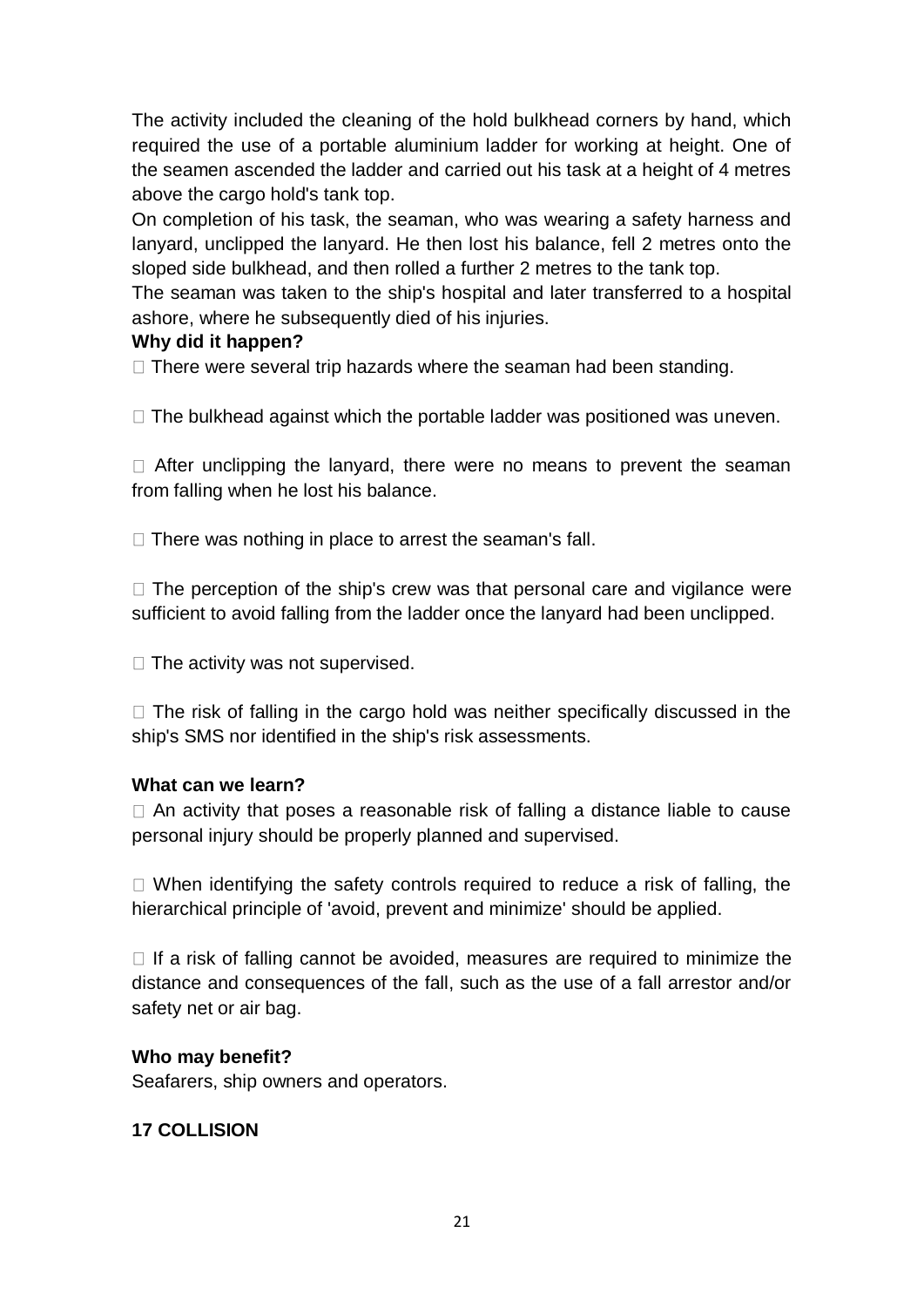The activity included the cleaning of the hold bulkhead corners by hand, which required the use of a portable aluminium ladder for working at height. One of the seamen ascended the ladder and carried out his task at a height of 4 metres above the cargo hold's tank top.

On completion of his task, the seaman, who was wearing a safety harness and lanyard, unclipped the lanyard. He then lost his balance, fell 2 metres onto the sloped side bulkhead, and then rolled a further 2 metres to the tank top.

The seaman was taken to the ship's hospital and later transferred to a hospital ashore, where he subsequently died of his injuries.

#### **Why did it happen?**

 $\Box$  There were several trip hazards where the seaman had been standing.

 $\Box$  The bulkhead against which the portable ladder was positioned was uneven.

 $\Box$  After unclipping the lanyard, there were no means to prevent the seaman from falling when he lost his balance.

 $\Box$  There was nothing in place to arrest the seaman's fall.

 $\Box$  The perception of the ship's crew was that personal care and vigilance were sufficient to avoid falling from the ladder once the lanyard had been unclipped.

 $\Box$  The activity was not supervised.

 $\Box$  The risk of falling in the cargo hold was neither specifically discussed in the ship's SMS nor identified in the ship's risk assessments.

## **What can we learn?**

 $\Box$  An activity that poses a reasonable risk of falling a distance liable to cause personal injury should be properly planned and supervised.

 $\Box$  When identifying the safety controls required to reduce a risk of falling, the hierarchical principle of 'avoid, prevent and minimize' should be applied.

 $\Box$  If a risk of falling cannot be avoided, measures are required to minimize the distance and consequences of the fall, such as the use of a fall arrestor and/or safety net or air bag.

## **Who may benefit?**

Seafarers, ship owners and operators.

## **17 COLLISION**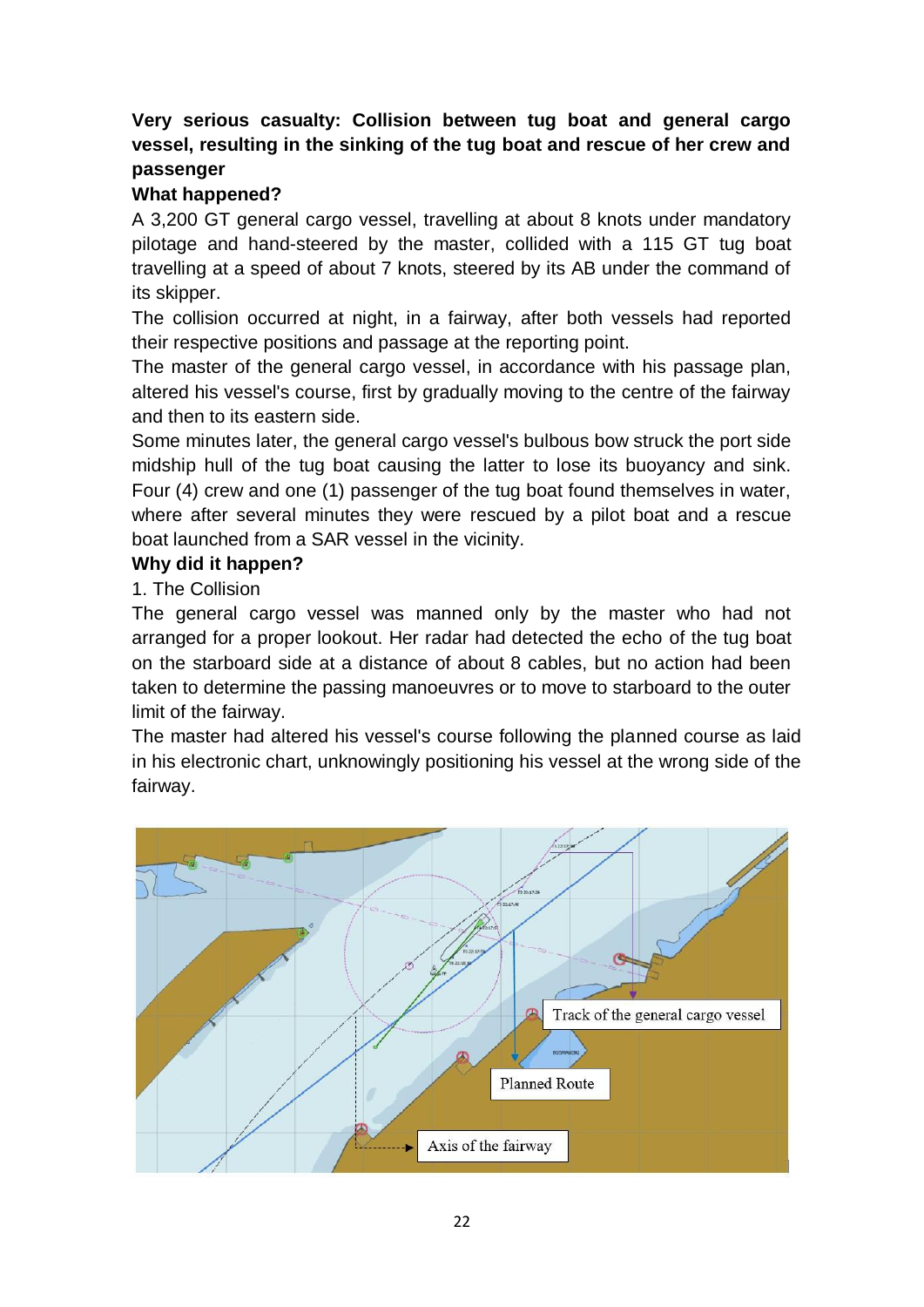# **Very serious casualty: Collision between tug boat and general cargo vessel, resulting in the sinking of the tug boat and rescue of her crew and passenger**

## **What happened?**

A 3,200 GT general cargo vessel, travelling at about 8 knots under mandatory pilotage and hand-steered by the master, collided with a 115 GT tug boat travelling at a speed of about 7 knots, steered by its AB under the command of its skipper.

The collision occurred at night, in a fairway, after both vessels had reported their respective positions and passage at the reporting point.

The master of the general cargo vessel, in accordance with his passage plan, altered his vessel's course, first by gradually moving to the centre of the fairway and then to its eastern side.

Some minutes later, the general cargo vessel's bulbous bow struck the port side midship hull of the tug boat causing the latter to lose its buoyancy and sink. Four (4) crew and one (1) passenger of the tug boat found themselves in water, where after several minutes they were rescued by a pilot boat and a rescue boat launched from a SAR vessel in the vicinity.

#### **Why did it happen?**

1. The Collision

The general cargo vessel was manned only by the master who had not arranged for a proper lookout. Her radar had detected the echo of the tug boat on the starboard side at a distance of about 8 cables, but no action had been taken to determine the passing manoeuvres or to move to starboard to the outer limit of the fairway.

The master had altered his vessel's course following the planned course as laid in his electronic chart, unknowingly positioning his vessel at the wrong side of the fairway.

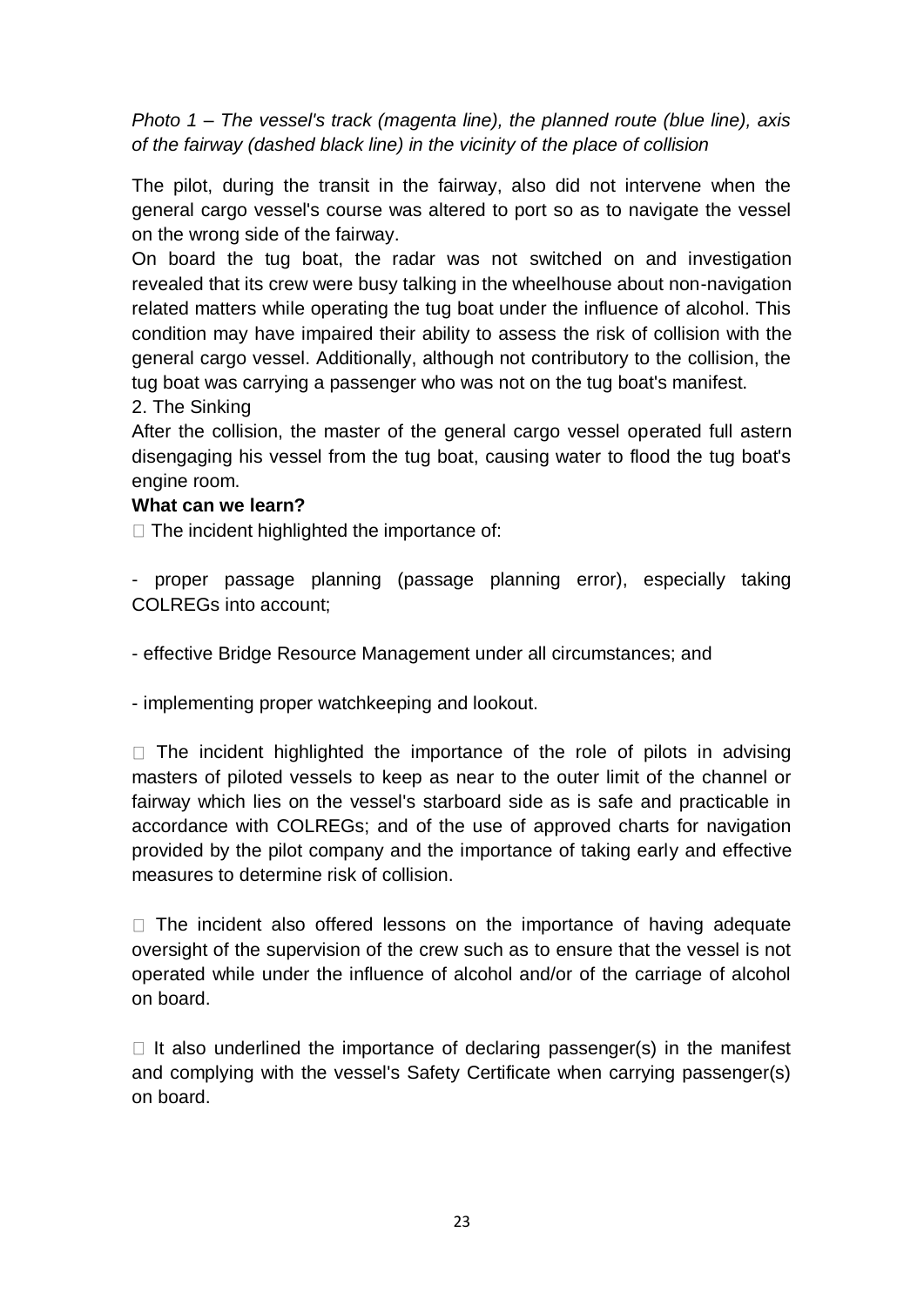*Photo 1 – The vessel's track (magenta line), the planned route (blue line), axis of the fairway (dashed black line) in the vicinity of the place of collision*

The pilot, during the transit in the fairway, also did not intervene when the general cargo vessel's course was altered to port so as to navigate the vessel on the wrong side of the fairway.

On board the tug boat, the radar was not switched on and investigation revealed that its crew were busy talking in the wheelhouse about non-navigation related matters while operating the tug boat under the influence of alcohol. This condition may have impaired their ability to assess the risk of collision with the general cargo vessel. Additionally, although not contributory to the collision, the tug boat was carrying a passenger who was not on the tug boat's manifest.

2. The Sinking

After the collision, the master of the general cargo vessel operated full astern disengaging his vessel from the tug boat, causing water to flood the tug boat's engine room.

#### **What can we learn?**

 $\Box$  The incident highlighted the importance of:

- proper passage planning (passage planning error), especially taking COLREGs into account;

- effective Bridge Resource Management under all circumstances; and

- implementing proper watchkeeping and lookout.

 $\Box$  The incident highlighted the importance of the role of pilots in advising masters of piloted vessels to keep as near to the outer limit of the channel or fairway which lies on the vessel's starboard side as is safe and practicable in accordance with COLREGs; and of the use of approved charts for navigation provided by the pilot company and the importance of taking early and effective measures to determine risk of collision.

 $\Box$  The incident also offered lessons on the importance of having adequate oversight of the supervision of the crew such as to ensure that the vessel is not operated while under the influence of alcohol and/or of the carriage of alcohol on board.

 $\Box$  It also underlined the importance of declaring passenger(s) in the manifest and complying with the vessel's Safety Certificate when carrying passenger(s) on board.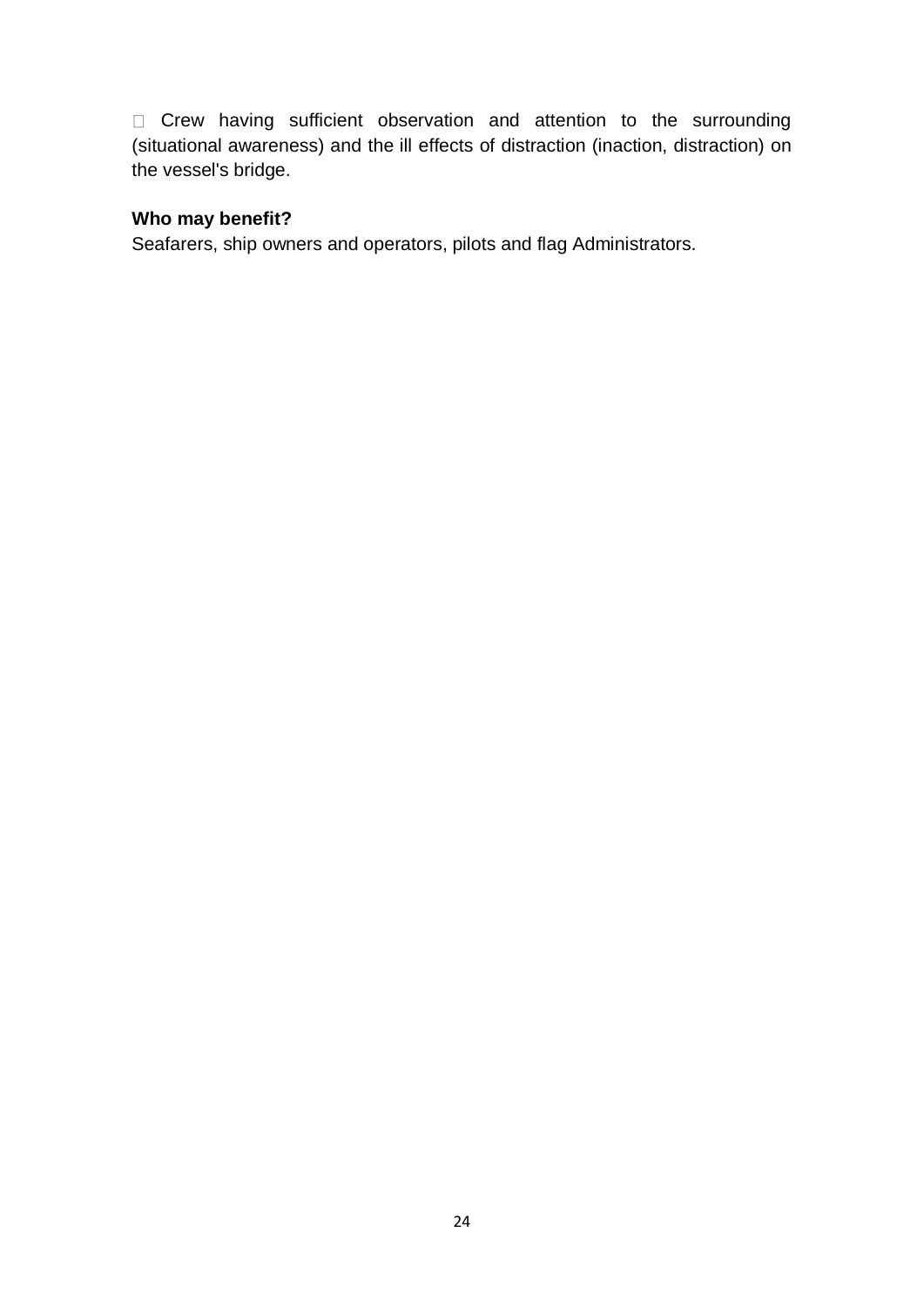Crew having sufficient observation and attention to the surrounding (situational awareness) and the ill effects of distraction (inaction, distraction) on the vessel's bridge.

#### **Who may benefit?**

Seafarers, ship owners and operators, pilots and flag Administrators.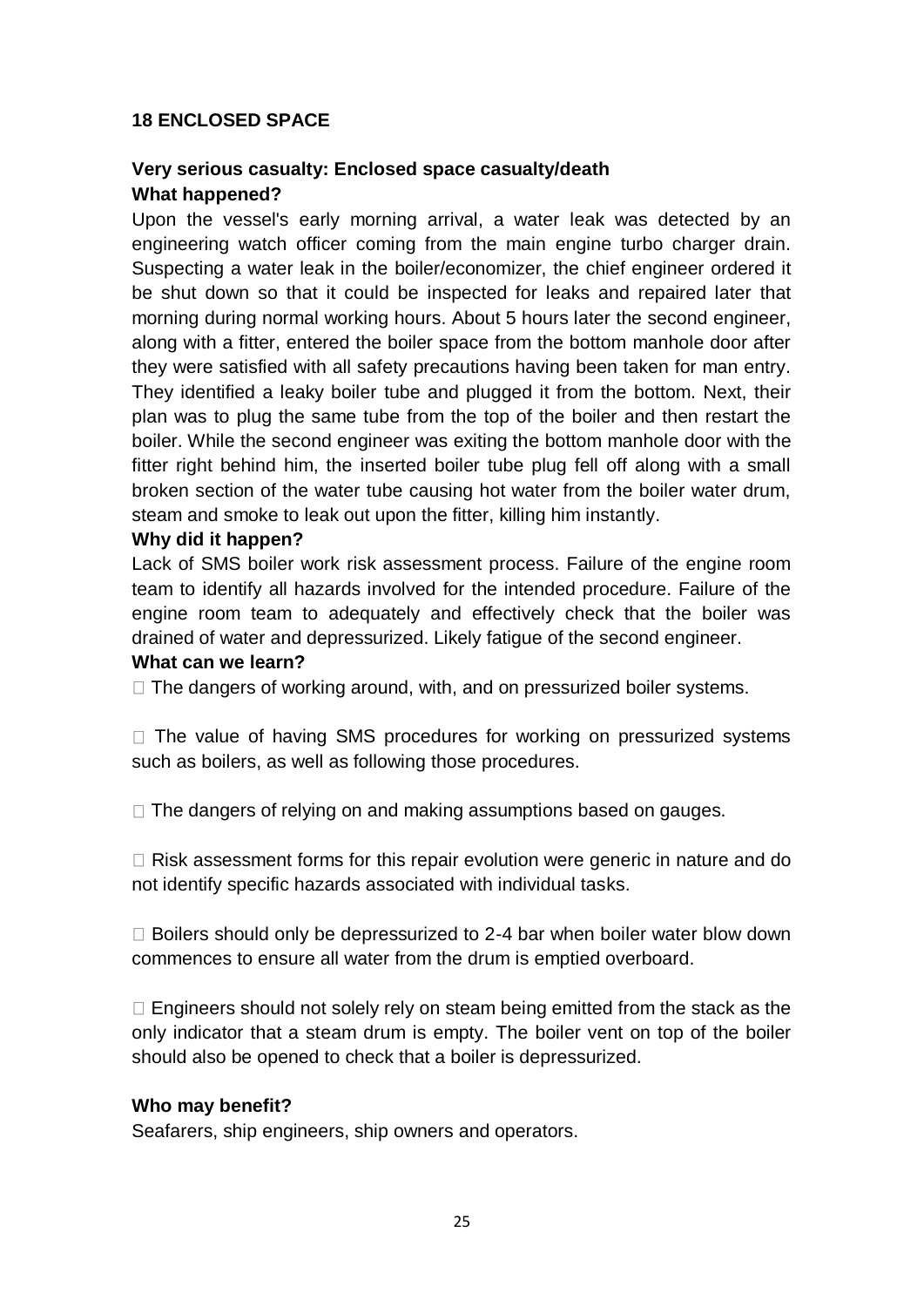## **18 ENCLOSED SPACE**

# **Very serious casualty: Enclosed space casualty/death What happened?**

Upon the vessel's early morning arrival, a water leak was detected by an engineering watch officer coming from the main engine turbo charger drain. Suspecting a water leak in the boiler/economizer, the chief engineer ordered it be shut down so that it could be inspected for leaks and repaired later that morning during normal working hours. About 5 hours later the second engineer, along with a fitter, entered the boiler space from the bottom manhole door after they were satisfied with all safety precautions having been taken for man entry. They identified a leaky boiler tube and plugged it from the bottom. Next, their plan was to plug the same tube from the top of the boiler and then restart the boiler. While the second engineer was exiting the bottom manhole door with the fitter right behind him, the inserted boiler tube plug fell off along with a small broken section of the water tube causing hot water from the boiler water drum, steam and smoke to leak out upon the fitter, killing him instantly.

#### **Why did it happen?**

Lack of SMS boiler work risk assessment process. Failure of the engine room team to identify all hazards involved for the intended procedure. Failure of the engine room team to adequately and effectively check that the boiler was drained of water and depressurized. Likely fatigue of the second engineer.

#### **What can we learn?**

 $\Box$  The dangers of working around, with, and on pressurized boiler systems.

 $\Box$  The value of having SMS procedures for working on pressurized systems such as boilers, as well as following those procedures.

 $\Box$  The dangers of relying on and making assumptions based on gauges.

 $\Box$  Risk assessment forms for this repair evolution were generic in nature and do not identify specific hazards associated with individual tasks.

 $\Box$  Boilers should only be depressurized to 2-4 bar when boiler water blow down commences to ensure all water from the drum is emptied overboard.

 $\Box$  Engineers should not solely rely on steam being emitted from the stack as the only indicator that a steam drum is empty. The boiler vent on top of the boiler should also be opened to check that a boiler is depressurized.

#### **Who may benefit?**

Seafarers, ship engineers, ship owners and operators.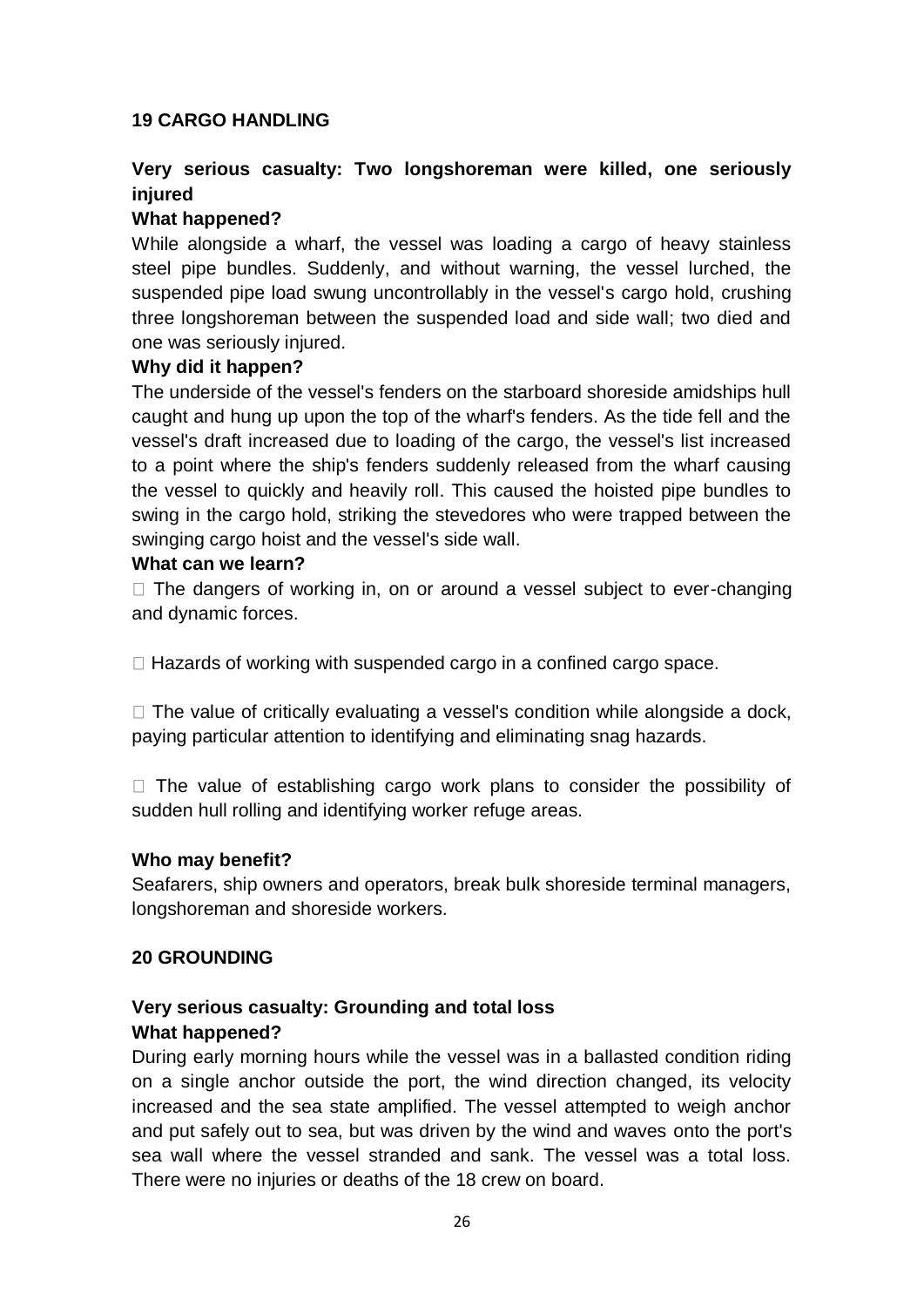#### **19 CARGO HANDLING**

# **Very serious casualty: Two longshoreman were killed, one seriously injured**

#### **What happened?**

While alongside a wharf, the vessel was loading a cargo of heavy stainless steel pipe bundles. Suddenly, and without warning, the vessel lurched, the suspended pipe load swung uncontrollably in the vessel's cargo hold, crushing three longshoreman between the suspended load and side wall; two died and one was seriously injured.

#### **Why did it happen?**

The underside of the vessel's fenders on the starboard shoreside amidships hull caught and hung up upon the top of the wharf's fenders. As the tide fell and the vessel's draft increased due to loading of the cargo, the vessel's list increased to a point where the ship's fenders suddenly released from the wharf causing the vessel to quickly and heavily roll. This caused the hoisted pipe bundles to swing in the cargo hold, striking the stevedores who were trapped between the swinging cargo hoist and the vessel's side wall.

#### **What can we learn?**

 $\Box$  The dangers of working in, on or around a vessel subject to ever-changing and dynamic forces.

 $\Box$  Hazards of working with suspended cargo in a confined cargo space.

 $\Box$  The value of critically evaluating a vessel's condition while alongside a dock, paying particular attention to identifying and eliminating snag hazards.

 $\Box$  The value of establishing cargo work plans to consider the possibility of sudden hull rolling and identifying worker refuge areas.

#### **Who may benefit?**

Seafarers, ship owners and operators, break bulk shoreside terminal managers, longshoreman and shoreside workers.

#### **20 GROUNDING**

# **Very serious casualty: Grounding and total loss What happened?**

During early morning hours while the vessel was in a ballasted condition riding on a single anchor outside the port, the wind direction changed, its velocity increased and the sea state amplified. The vessel attempted to weigh anchor and put safely out to sea, but was driven by the wind and waves onto the port's sea wall where the vessel stranded and sank. The vessel was a total loss. There were no injuries or deaths of the 18 crew on board.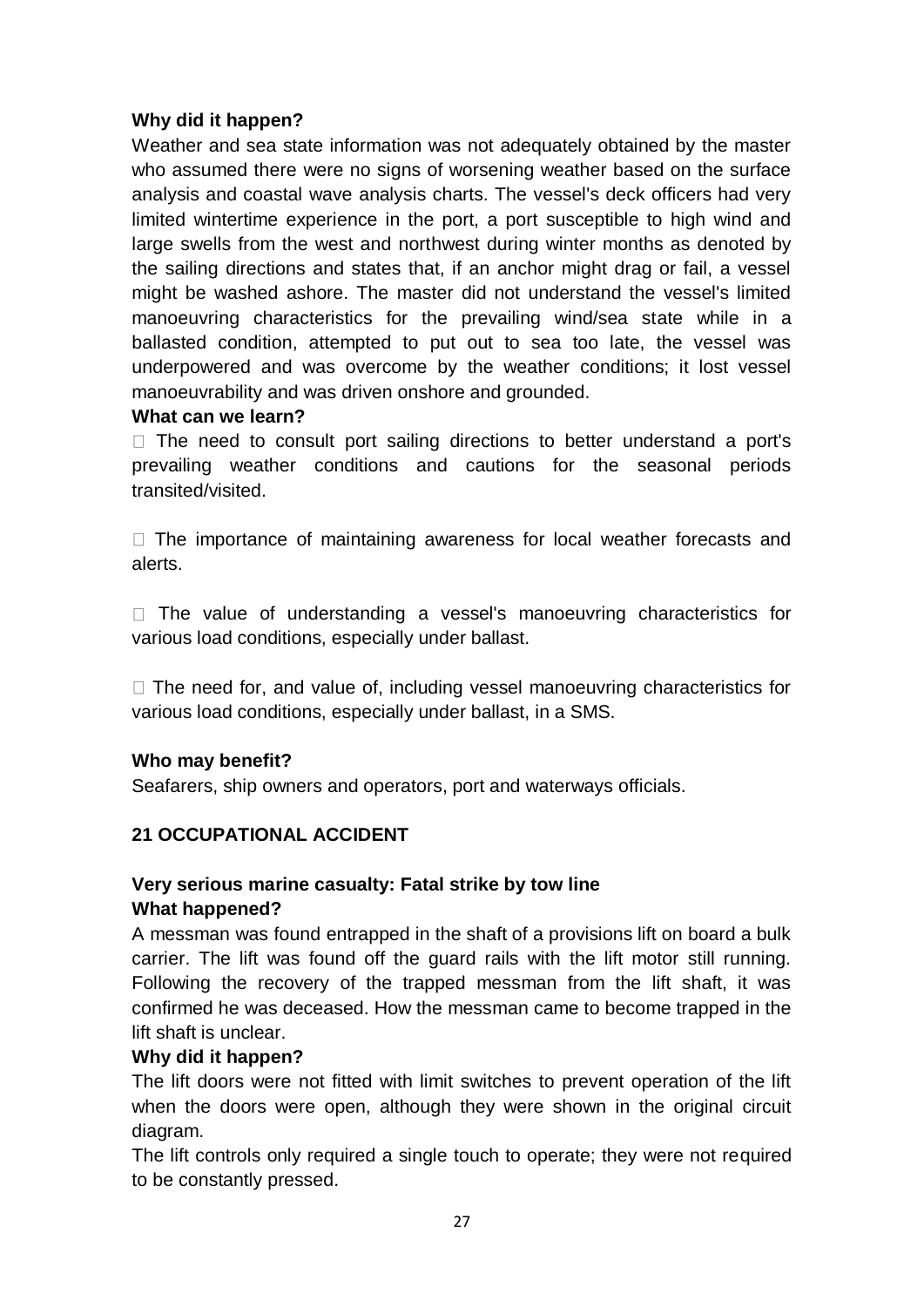# **Why did it happen?**

Weather and sea state information was not adequately obtained by the master who assumed there were no signs of worsening weather based on the surface analysis and coastal wave analysis charts. The vessel's deck officers had very limited wintertime experience in the port, a port susceptible to high wind and large swells from the west and northwest during winter months as denoted by the sailing directions and states that, if an anchor might drag or fail, a vessel might be washed ashore. The master did not understand the vessel's limited manoeuvring characteristics for the prevailing wind/sea state while in a ballasted condition, attempted to put out to sea too late, the vessel was underpowered and was overcome by the weather conditions; it lost vessel manoeuvrability and was driven onshore and grounded.

#### **What can we learn?**

 $\Box$  The need to consult port sailing directions to better understand a port's prevailing weather conditions and cautions for the seasonal periods transited/visited.

 $\Box$  The importance of maintaining awareness for local weather forecasts and alerts.

 $\Box$  The value of understanding a vessel's manoeuvring characteristics for various load conditions, especially under ballast.

 $\Box$  The need for, and value of, including vessel manoeuvring characteristics for various load conditions, especially under ballast, in a SMS.

## **Who may benefit?**

Seafarers, ship owners and operators, port and waterways officials.

## **21 OCCUPATIONAL ACCIDENT**

# **Very serious marine casualty: Fatal strike by tow line What happened?**

A messman was found entrapped in the shaft of a provisions lift on board a bulk carrier. The lift was found off the guard rails with the lift motor still running. Following the recovery of the trapped messman from the lift shaft, it was confirmed he was deceased. How the messman came to become trapped in the lift shaft is unclear.

#### **Why did it happen?**

The lift doors were not fitted with limit switches to prevent operation of the lift when the doors were open, although they were shown in the original circuit diagram.

The lift controls only required a single touch to operate; they were not required to be constantly pressed.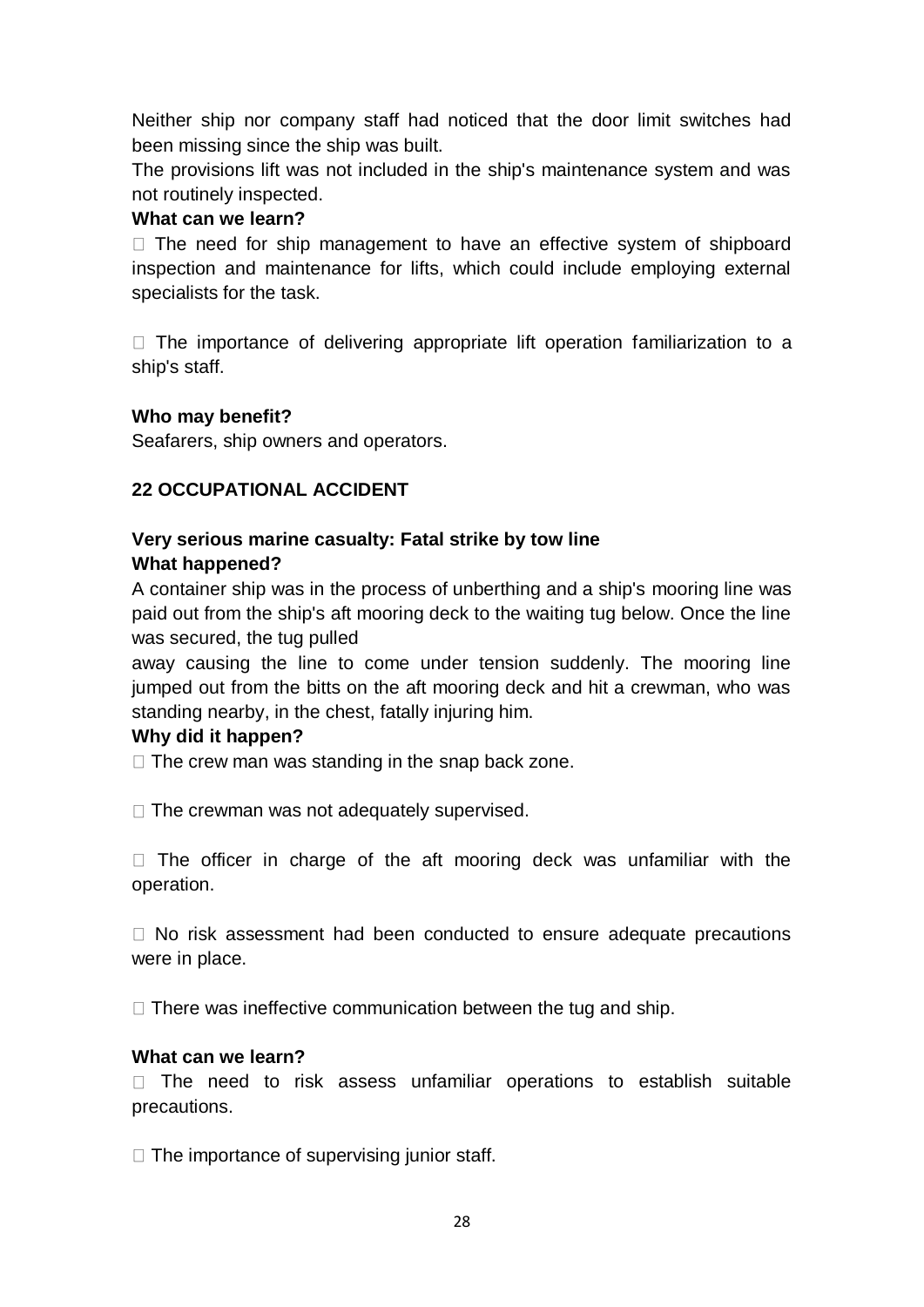Neither ship nor company staff had noticed that the door limit switches had been missing since the ship was built.

The provisions lift was not included in the ship's maintenance system and was not routinely inspected.

#### **What can we learn?**

 $\Box$  The need for ship management to have an effective system of shipboard inspection and maintenance for lifts, which could include employing external specialists for the task.

 $\Box$  The importance of delivering appropriate lift operation familiarization to a ship's staff.

#### **Who may benefit?**

Seafarers, ship owners and operators.

# **22 OCCUPATIONAL ACCIDENT**

#### **Very serious marine casualty: Fatal strike by tow line What happened?**

A container ship was in the process of unberthing and a ship's mooring line was paid out from the ship's aft mooring deck to the waiting tug below. Once the line was secured, the tug pulled

away causing the line to come under tension suddenly. The mooring line jumped out from the bitts on the aft mooring deck and hit a crewman, who was standing nearby, in the chest, fatally injuring him.

#### **Why did it happen?**

 $\Box$  The crew man was standing in the snap back zone.

 $\Box$  The crewman was not adequately supervised.

 $\Box$  The officer in charge of the aft mooring deck was unfamiliar with the operation.

 $\Box$  No risk assessment had been conducted to ensure adequate precautions were in place.

 $\Box$  There was ineffective communication between the tug and ship.

#### **What can we learn?**

 $\Box$  The need to risk assess unfamiliar operations to establish suitable precautions.

 $\Box$  The importance of supervising junior staff.